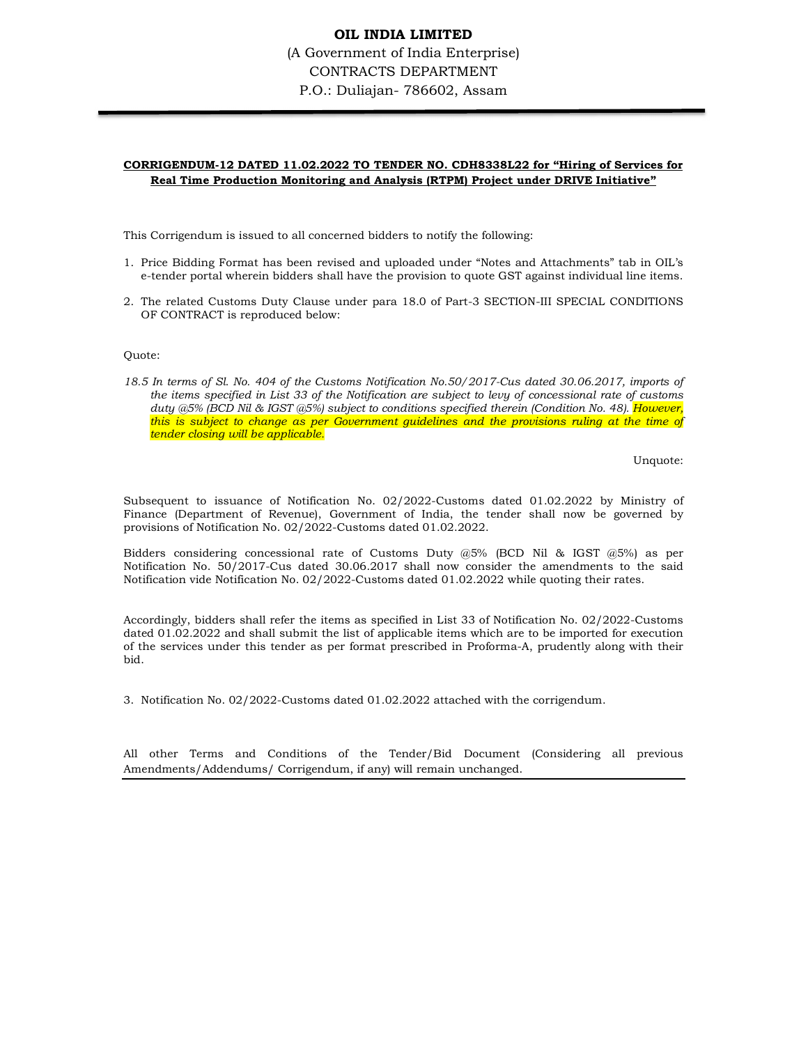## OIL INDIA LIMITED (A Government of India Enterprise) CONTRACTS DEPARTMENT P.O.: Duliajan- 786602, Assam

#### CORRIGENDUM-12 DATED 11.02.2022 TO TENDER NO. CDH8338L22 for "Hiring of Services for Real Time Production Monitoring and Analysis (RTPM) Project under DRIVE Initiative"

This Corrigendum is issued to all concerned bidders to notify the following:

- 1. Price Bidding Format has been revised and uploaded under "Notes and Attachments" tab in OIL's e-tender portal wherein bidders shall have the provision to quote GST against individual line items.
- 2. The related Customs Duty Clause under para 18.0 of Part-3 SECTION-III SPECIAL CONDITIONS OF CONTRACT is reproduced below:

Quote:

18.5 In terms of Sl. No. 404 of the Customs Notification No.50/2017-Cus dated 30.06.2017, imports of the items specified in List 33 of the Notification are subject to levy of concessional rate of customs duty @5% (BCD Nil & IGST @5%) subject to conditions specified therein (Condition No. 48). However, this is subject to change as per Government guidelines and the provisions ruling at the time of tender closing will be applicable.

Unquote:

Subsequent to issuance of Notification No. 02/2022-Customs dated 01.02.2022 by Ministry of Finance (Department of Revenue), Government of India, the tender shall now be governed by provisions of Notification No. 02/2022-Customs dated 01.02.2022.

Bidders considering concessional rate of Customs Duty  $(2.5\%)$  (BCD Nil & IGST  $(2.5\%)$ ) as per Notification No. 50/2017-Cus dated 30.06.2017 shall now consider the amendments to the said Notification vide Notification No. 02/2022-Customs dated 01.02.2022 while quoting their rates.

Accordingly, bidders shall refer the items as specified in List 33 of Notification No. 02/2022-Customs dated 01.02.2022 and shall submit the list of applicable items which are to be imported for execution of the services under this tender as per format prescribed in Proforma-A, prudently along with their bid.

3. Notification No. 02/2022-Customs dated 01.02.2022 attached with the corrigendum.

All other Terms and Conditions of the Tender/Bid Document (Considering all previous Amendments/Addendums/ Corrigendum, if any) will remain unchanged.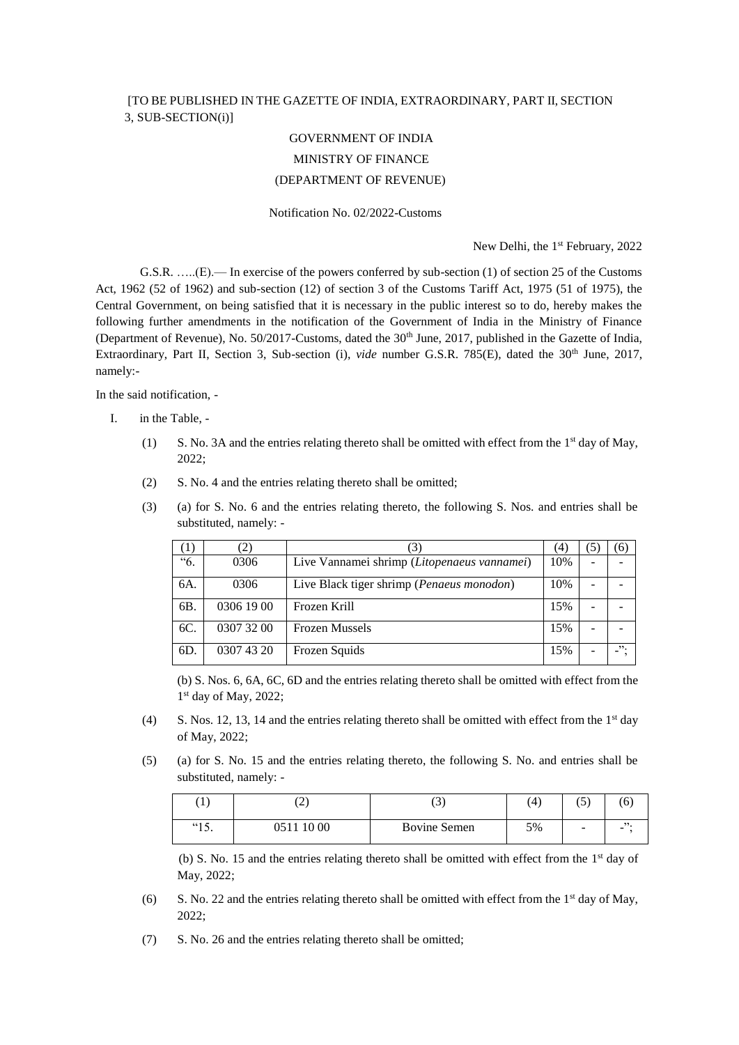## [TO BE PUBLISHED IN THE GAZETTE OF INDIA, EXTRAORDINARY, PART II, SECTION 3, SUB-SECTION(i)]

# GOVERNMENT OF INDIA MINISTRY OF FINANCE (DEPARTMENT OF REVENUE)

#### Notification No. 02/2022-Customs

New Delhi, the 1<sup>st</sup> February, 2022

G.S.R. …..(E).— In exercise of the powers conferred by sub-section (1) of section 25 of the Customs Act, 1962 (52 of 1962) and sub-section (12) of section 3 of the Customs Tariff Act, 1975 (51 of 1975), the Central Government, on being satisfied that it is necessary in the public interest so to do, hereby makes the following further amendments in the notification of the Government of India in the Ministry of Finance (Department of Revenue), No. 50/2017-Customs, dated the 30<sup>th</sup> June, 2017, published in the Gazette of India, Extraordinary, Part II, Section 3, Sub-section (i), *vide* number G.S.R. 785(E), dated the 30<sup>th</sup> June, 2017, namely:-

In the said notification, -

- I. in the Table,
	- (1) S. No. 3A and the entries relating thereto shall be omitted with effect from the 1<sup>st</sup> day of May, 2022;
	- (2) S. No. 4 and the entries relating thereto shall be omitted;
	- (3) (a) for S. No. 6 and the entries relating thereto, the following S. Nos. and entries shall be substituted, namely: -

|     | 2)         |                                                    | 4   | 5 | (6) |
|-----|------------|----------------------------------------------------|-----|---|-----|
| "6. | 0306       | Live Vannamei shrimp (Litopenaeus vannamei)        | 10% |   |     |
| 6A. | 0306       | Live Black tiger shrimp ( <i>Penaeus monodon</i> ) | 10% |   |     |
| 6B. | 0306 19 00 | Frozen Krill                                       | 15% |   |     |
| 6C. | 0307 32 00 | <b>Frozen Mussels</b>                              | 15% |   |     |
| 6D  | 0307 43 20 | Frozen Squids                                      | 15% |   | 52. |

(b) S. Nos. 6, 6A, 6C, 6D and the entries relating thereto shall be omitted with effect from the 1<sup>st</sup> day of May, 2022;

- (4) S. Nos. 12, 13, 14 and the entries relating thereto shall be omitted with effect from the  $1<sup>st</sup>$  day of May, 2022;
- (5) (a) for S. No. 15 and the entries relating thereto, the following S. No. and entries shall be substituted, namely: -

| '1<br>÷       | n.<br>∼       | $\sim$<br>$\overline{\phantom{0}}$ | 4  | $\sim$ $\sim$<br>ぃ       | 6   |
|---------------|---------------|------------------------------------|----|--------------------------|-----|
| (15)<br>1 J . | 10 00<br>9511 | Bovine Semen                       | 5% | $\overline{\phantom{a}}$ | , , |

(b) S. No. 15 and the entries relating thereto shall be omitted with effect from the  $1<sup>st</sup>$  day of May, 2022;

- (6) S. No. 22 and the entries relating thereto shall be omitted with effect from the  $1<sup>st</sup>$  day of May, 2022;
- (7) S. No. 26 and the entries relating thereto shall be omitted;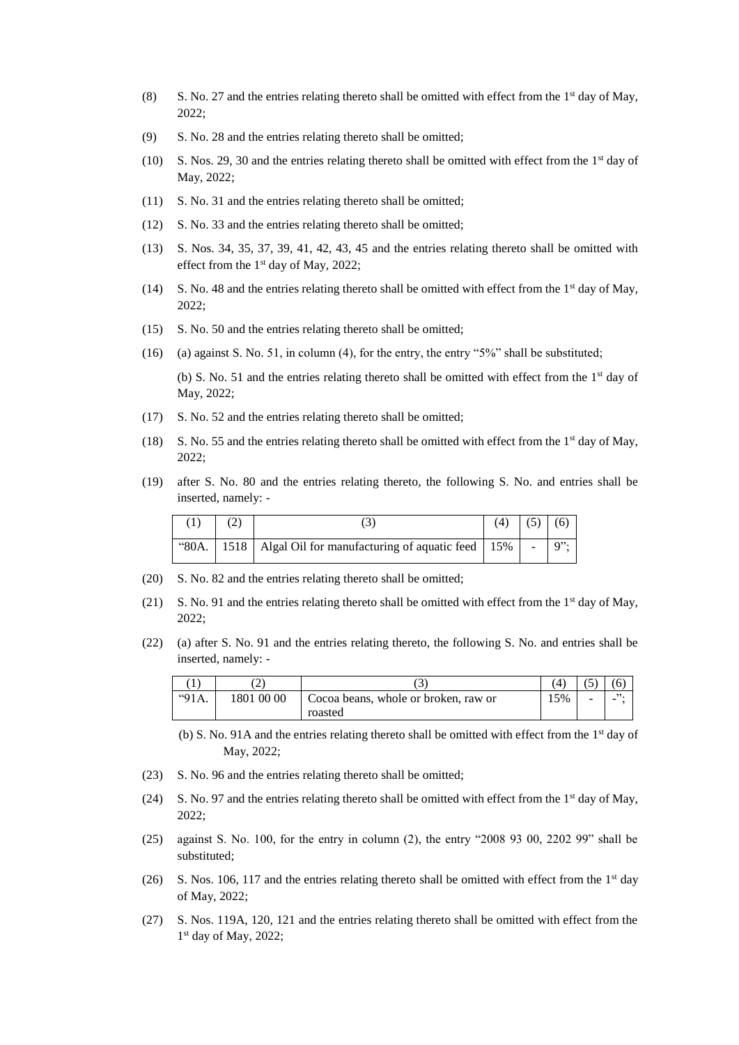- (8) S. No. 27 and the entries relating thereto shall be omitted with effect from the  $1<sup>st</sup>$  day of May, 2022;
- (9) S. No. 28 and the entries relating thereto shall be omitted;
- (10) S. Nos. 29, 30 and the entries relating thereto shall be omitted with effect from the  $1<sup>st</sup>$  day of May, 2022;
- (11) S. No. 31 and the entries relating thereto shall be omitted;
- (12) S. No. 33 and the entries relating thereto shall be omitted;
- (13) S. Nos. 34, 35, 37, 39, 41, 42, 43, 45 and the entries relating thereto shall be omitted with effect from the 1st day of May, 2022;
- (14) S. No. 48 and the entries relating thereto shall be omitted with effect from the 1<sup>st</sup> day of May, 2022;
- (15) S. No. 50 and the entries relating thereto shall be omitted;
- (16) (a) against S. No. 51, in column (4), for the entry, the entry "5%" shall be substituted;

(b) S. No. 51 and the entries relating thereto shall be omitted with effect from the 1<sup>st</sup> day of May, 2022;

- (17) S. No. 52 and the entries relating thereto shall be omitted;
- (18) S. No. 55 and the entries relating thereto shall be omitted with effect from the 1<sup>st</sup> day of May, 2022;
- (19) after S. No. 80 and the entries relating thereto, the following S. No. and entries shall be inserted, namely: -

|  |                                                                  | (4) |  |
|--|------------------------------------------------------------------|-----|--|
|  | "80A.   1518   Algal Oil for manufacturing of aquatic feed   15% |     |  |

- (20) S. No. 82 and the entries relating thereto shall be omitted;
- (21) S. No. 91 and the entries relating thereto shall be omitted with effect from the  $1<sup>st</sup>$  day of May, 2022;
- (22) (a) after S. No. 91 and the entries relating thereto, the following S. No. and entries shall be inserted, namely: -

|       |            | ر_                                   |     | $\sim$<br>ັ |     |
|-------|------------|--------------------------------------|-----|-------------|-----|
| "91A. | 1801 00 00 | Cocoa beans, whole or broken, raw or | 15% | -           | , , |
|       |            | roasted                              |     |             |     |

(b) S. No. 91A and the entries relating thereto shall be omitted with effect from the 1st day of May, 2022;

- (23) S. No. 96 and the entries relating thereto shall be omitted;
- (24) S. No. 97 and the entries relating thereto shall be omitted with effect from the 1<sup>st</sup> day of May, 2022;
- (25) against S. No. 100, for the entry in column (2), the entry "2008 93 00, 2202 99" shall be substituted;
- (26) S. Nos. 106, 117 and the entries relating thereto shall be omitted with effect from the  $1<sup>st</sup>$  day of May, 2022;
- (27) S. Nos. 119A, 120, 121 and the entries relating thereto shall be omitted with effect from the 1 st day of May, 2022;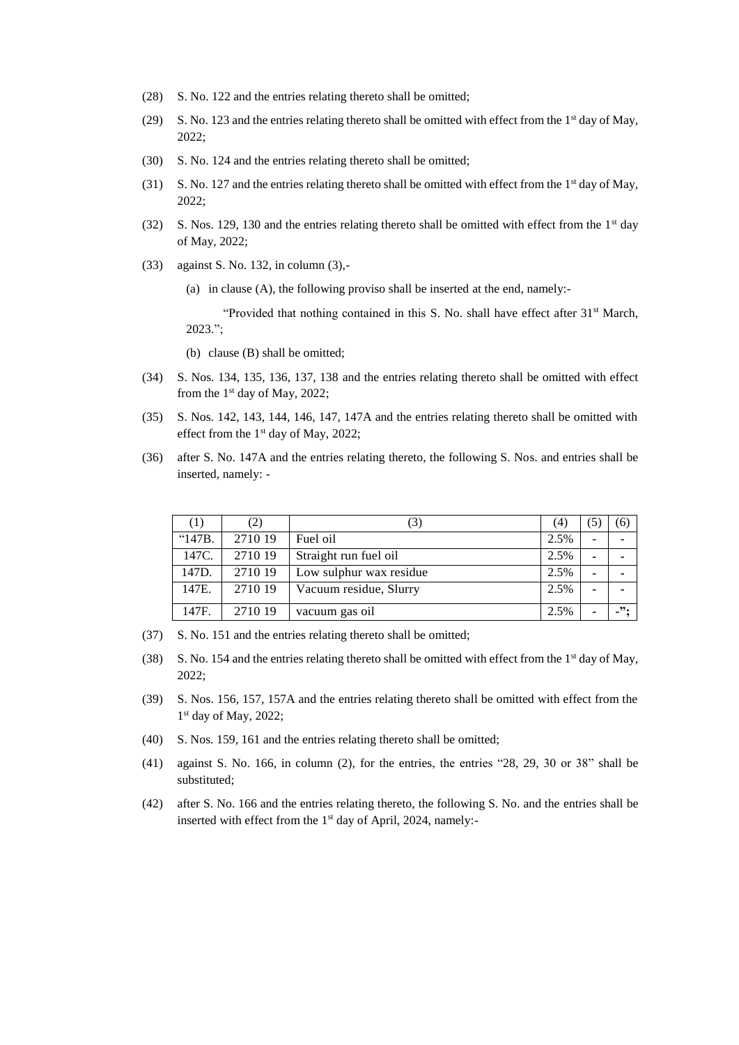- (28) S. No. 122 and the entries relating thereto shall be omitted;
- (29) S. No. 123 and the entries relating thereto shall be omitted with effect from the 1<sup>st</sup> day of May, 2022;
- (30) S. No. 124 and the entries relating thereto shall be omitted;
- (31) S. No. 127 and the entries relating thereto shall be omitted with effect from the 1<sup>st</sup> day of May, 2022;
- (32) S. Nos. 129, 130 and the entries relating thereto shall be omitted with effect from the 1<sup>st</sup> day of May, 2022;
- (33) against S. No. 132, in column (3),-
	- (a) in clause (A), the following proviso shall be inserted at the end, namely:-

"Provided that nothing contained in this S. No. shall have effect after 31<sup>st</sup> March, 2023.";

(b) clause (B) shall be omitted;

- (34) S. Nos. 134, 135, 136, 137, 138 and the entries relating thereto shall be omitted with effect from the  $1<sup>st</sup>$  day of May, 2022;
- (35) S. Nos. 142, 143, 144, 146, 147, 147A and the entries relating thereto shall be omitted with effect from the 1st day of May, 2022;
- (36) after S. No. 147A and the entries relating thereto, the following S. Nos. and entries shall be inserted, namely: -

| (1)    | (2)     | (3)                     | (4)  | $\left(5\right)$ | (6)     |
|--------|---------|-------------------------|------|------------------|---------|
| "147B. | 2710 19 | Fuel oil                | 2.5% |                  |         |
| 147C.  | 2710 19 | Straight run fuel oil   | 2.5% |                  |         |
| 147D.  | 2710 19 | Low sulphur wax residue | 2.5% |                  |         |
| 147E.  | 2710 19 | Vacuum residue, Slurry  | 2.5% |                  |         |
| 147F.  | 2710 19 | vacuum gas oil          | 2.5% |                  | $\cdot$ |

- (37) S. No. 151 and the entries relating thereto shall be omitted;
- (38) S. No. 154 and the entries relating thereto shall be omitted with effect from the 1st day of May, 2022;
- (39) S. Nos. 156, 157, 157A and the entries relating thereto shall be omitted with effect from the 1st day of May, 2022;
- (40) S. Nos. 159, 161 and the entries relating thereto shall be omitted;
- (41) against S. No. 166, in column (2), for the entries, the entries "28, 29, 30 or 38" shall be substituted;
- (42) after S. No. 166 and the entries relating thereto, the following S. No. and the entries shall be inserted with effect from the 1<sup>st</sup> day of April, 2024, namely:-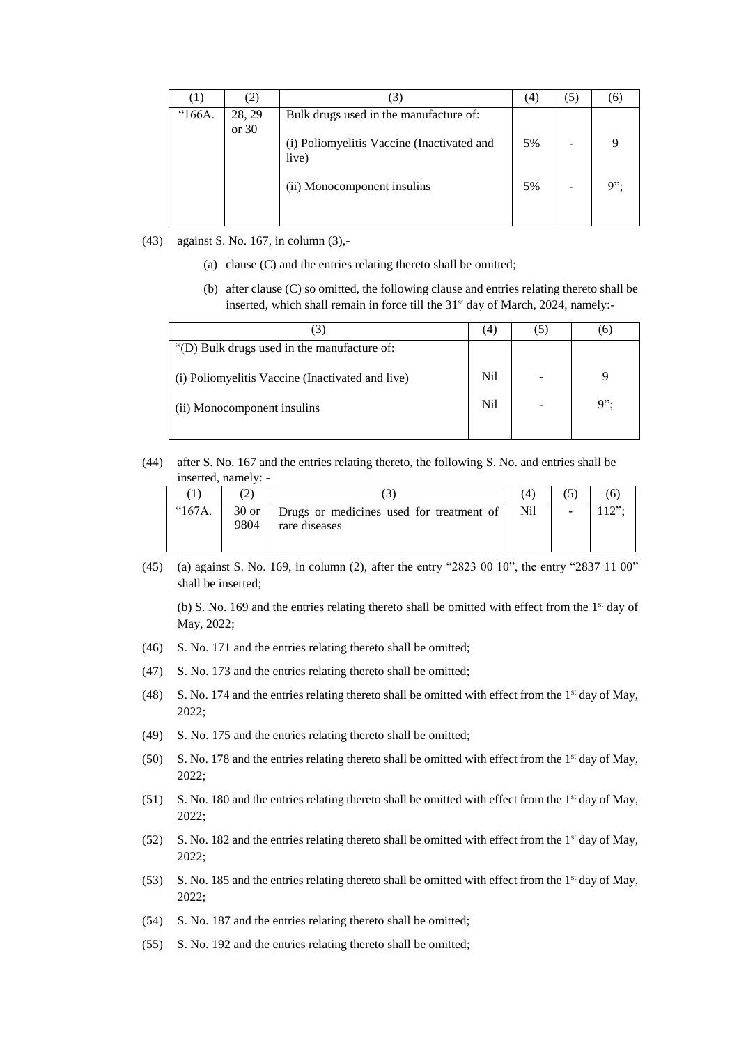| $\pm$  |                 | $\left[3\right]$                                    | (4) | (5) |     |
|--------|-----------------|-----------------------------------------------------|-----|-----|-----|
| "166A. | 28, 29<br>or 30 | Bulk drugs used in the manufacture of:              |     |     |     |
|        |                 | (i) Poliomyelitis Vaccine (Inactivated and<br>live) | 5%  |     |     |
|        |                 | (ii) Monocomponent insulins                         | 5%  |     | q". |

- (43) against S. No. 167, in column (3),-
	- (a) clause (C) and the entries relating thereto shall be omitted;
	- (b) after clause (C) so omitted, the following clause and entries relating thereto shall be inserted, which shall remain in force till the 31<sup>st</sup> day of March, 2024, namely:-

|                                                  | (4) |        |
|--------------------------------------------------|-----|--------|
| "(D) Bulk drugs used in the manufacture of:      |     |        |
| (i) Poliomyelitis Vaccine (Inactivated and live) | Nil |        |
| (ii) Monocomponent insulins                      | Nil | $9$ ": |
|                                                  |     |        |

(44) after S. No. 167 and the entries relating thereto, the following S. No. and entries shall be inserted, namely: -

|                 |      |                                                  | 4   |       |
|-----------------|------|--------------------------------------------------|-----|-------|
| $^{\circ}167A.$ |      | 30 or   Drugs or medicines used for treatment of | Nil | 1222. |
|                 | 9804 | rare diseases                                    |     |       |
|                 |      |                                                  |     |       |

(45) (a) against S. No. 169, in column (2), after the entry "2823 00 10", the entry "2837 11 00" shall be inserted;

(b) S. No. 169 and the entries relating thereto shall be omitted with effect from the  $1<sup>st</sup>$  day of May, 2022;

- (46) S. No. 171 and the entries relating thereto shall be omitted;
- (47) S. No. 173 and the entries relating thereto shall be omitted;
- (48) S. No. 174 and the entries relating thereto shall be omitted with effect from the  $1<sup>st</sup>$  day of May, 2022;
- (49) S. No. 175 and the entries relating thereto shall be omitted;
- (50) S. No. 178 and the entries relating thereto shall be omitted with effect from the 1<sup>st</sup> day of May, 2022;
- (51) S. No. 180 and the entries relating thereto shall be omitted with effect from the 1<sup>st</sup> day of May, 2022;
- (52) S. No. 182 and the entries relating thereto shall be omitted with effect from the 1<sup>st</sup> day of May, 2022;
- (53) S. No. 185 and the entries relating thereto shall be omitted with effect from the 1<sup>st</sup> day of May, 2022;
- (54) S. No. 187 and the entries relating thereto shall be omitted;
- (55) S. No. 192 and the entries relating thereto shall be omitted;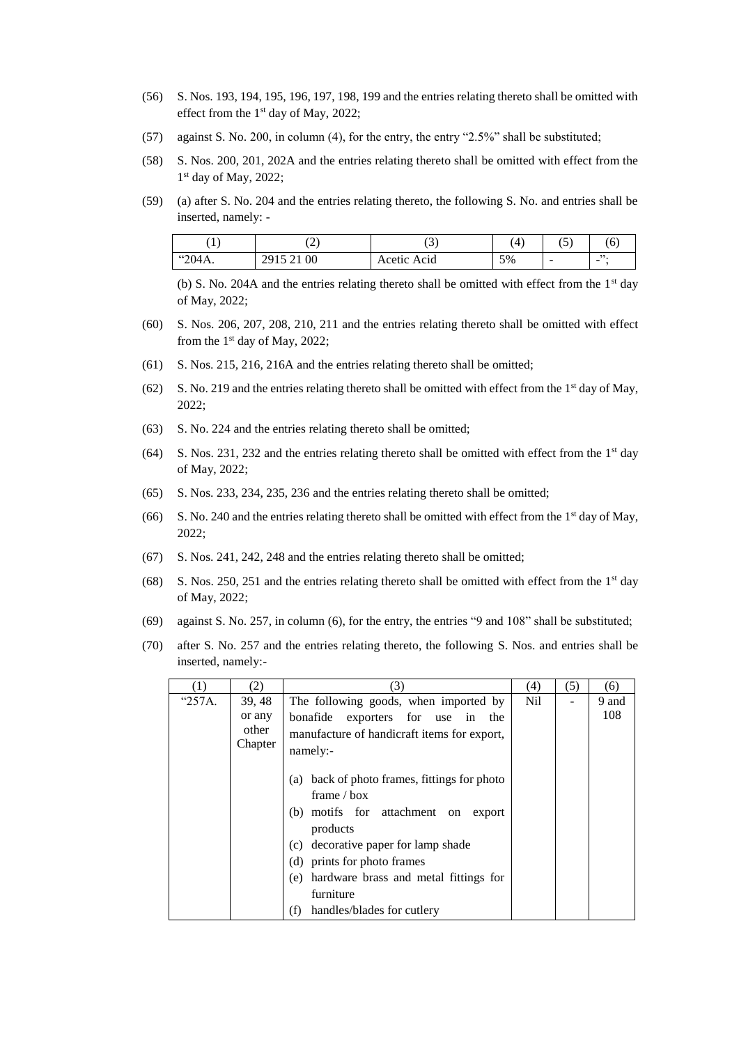- (56) S. Nos. 193, 194, 195, 196, 197, 198, 199 and the entries relating thereto shall be omitted with effect from the 1<sup>st</sup> day of May, 2022;
- (57) against S. No. 200, in column (4), for the entry, the entry "2.5%" shall be substituted;
- (58) S. Nos. 200, 201, 202A and the entries relating thereto shall be omitted with effect from the 1st day of May, 2022;
- (59) (a) after S. No. 204 and the entries relating thereto, the following S. No. and entries shall be inserted, namely: -

|        | $\sim$<br>∼                                       | ~           | ΄4 | $\rightarrow$<br>◡ | b     |
|--------|---------------------------------------------------|-------------|----|--------------------|-------|
| "204А. | 00<br>15.21<br>$20^{\circ}$<br>27 I.J<br>$\sim$ 1 | Acetic Acid | 5% | -                  | <br>- |

(b) S. No. 204A and the entries relating thereto shall be omitted with effect from the  $1<sup>st</sup>$  day of May, 2022;

- (60) S. Nos. 206, 207, 208, 210, 211 and the entries relating thereto shall be omitted with effect from the  $1<sup>st</sup>$  day of May, 2022;
- (61) S. Nos. 215, 216, 216A and the entries relating thereto shall be omitted;
- (62) S. No. 219 and the entries relating thereto shall be omitted with effect from the 1<sup>st</sup> day of May, 2022;
- (63) S. No. 224 and the entries relating thereto shall be omitted;
- (64) S. Nos. 231, 232 and the entries relating thereto shall be omitted with effect from the  $1<sup>st</sup>$  day of May, 2022;
- (65) S. Nos. 233, 234, 235, 236 and the entries relating thereto shall be omitted;
- (66) S. No. 240 and the entries relating thereto shall be omitted with effect from the 1<sup>st</sup> day of May, 2022;
- (67) S. Nos. 241, 242, 248 and the entries relating thereto shall be omitted;
- (68) S. Nos. 250, 251 and the entries relating thereto shall be omitted with effect from the  $1<sup>st</sup>$  day of May, 2022;
- (69) against S. No. 257, in column (6), for the entry, the entries "9 and 108" shall be substituted;
- (70) after S. No. 257 and the entries relating thereto, the following S. Nos. and entries shall be inserted, namely:-

|        | (2)                        | (3)                                                                                                                                                                                                                                                                                          | (4) | (5) | (6)   |
|--------|----------------------------|----------------------------------------------------------------------------------------------------------------------------------------------------------------------------------------------------------------------------------------------------------------------------------------------|-----|-----|-------|
| "257A. | 39, 48                     | The following goods, when imported by                                                                                                                                                                                                                                                        | Nil |     | 9 and |
|        | or any<br>other<br>Chapter | bonafide exporters for use in the<br>manufacture of handicraft items for export,<br>namely:-<br>back of photo frames, fittings for photo<br>(a)<br>frame $/$ box<br>(b) motifs for attachment on<br>export<br>products<br>(c) decorative paper for lamp shade<br>(d) prints for photo frames |     |     | 108   |
|        |                            | (e) hardware brass and metal fittings for                                                                                                                                                                                                                                                    |     |     |       |
|        |                            | furniture                                                                                                                                                                                                                                                                                    |     |     |       |
|        |                            | (f)<br>handles/blades for cutlery                                                                                                                                                                                                                                                            |     |     |       |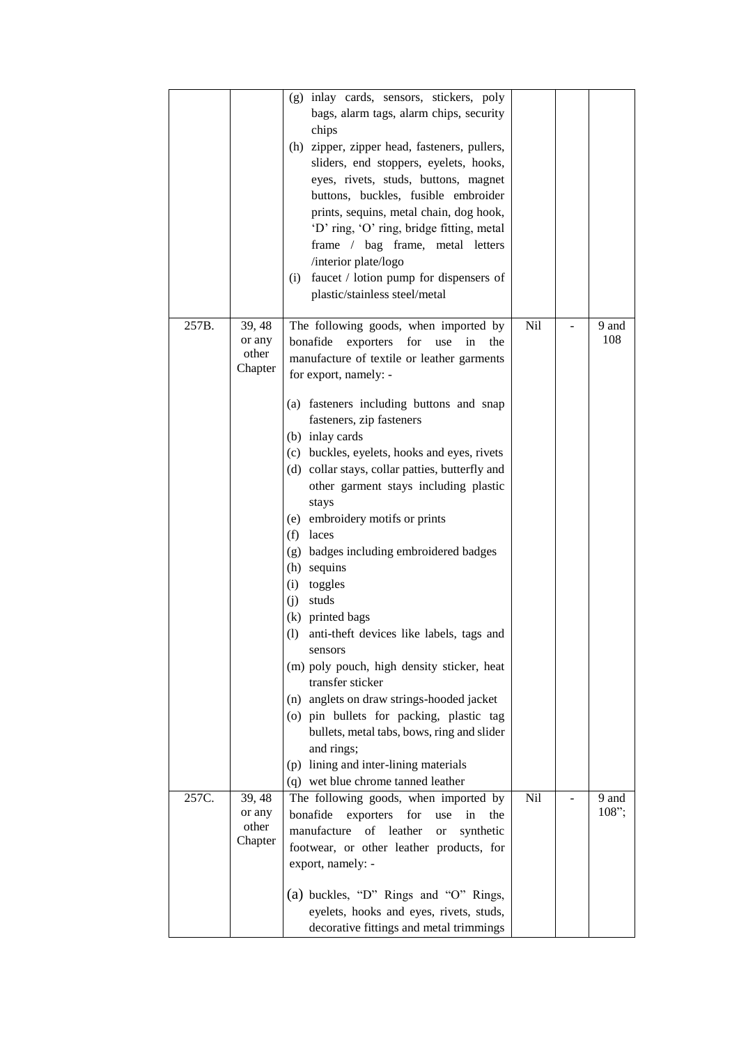|       |                                      | inlay cards, sensors, stickers, poly<br>(g)<br>bags, alarm tags, alarm chips, security<br>chips<br>(h) zipper, zipper head, fasteners, pullers,<br>sliders, end stoppers, eyelets, hooks,<br>eyes, rivets, studs, buttons, magnet<br>buttons, buckles, fusible embroider<br>prints, sequins, metal chain, dog hook,<br>'D' ring, 'O' ring, bridge fitting, metal<br>frame / bag frame, metal letters<br>/interior plate/logo<br>faucet / lotion pump for dispensers of<br>(i)<br>plastic/stainless steel/metal                                                                                                                                                                                                                                                                                                                                                                                                                                         |     |                   |
|-------|--------------------------------------|--------------------------------------------------------------------------------------------------------------------------------------------------------------------------------------------------------------------------------------------------------------------------------------------------------------------------------------------------------------------------------------------------------------------------------------------------------------------------------------------------------------------------------------------------------------------------------------------------------------------------------------------------------------------------------------------------------------------------------------------------------------------------------------------------------------------------------------------------------------------------------------------------------------------------------------------------------|-----|-------------------|
| 257B. | 39, 48<br>or any<br>other<br>Chapter | The following goods, when imported by<br>bonafide<br>exporters<br>for<br>the<br>use<br>in<br>manufacture of textile or leather garments<br>for export, namely: -<br>(a) fasteners including buttons and snap<br>fasteners, zip fasteners<br>(b) inlay cards<br>(c) buckles, eyelets, hooks and eyes, rivets<br>(d) collar stays, collar patties, butterfly and<br>other garment stays including plastic<br>stays<br>(e) embroidery motifs or prints<br>$(f)$ laces<br>(g) badges including embroidered badges<br>(h) sequins<br>(i)<br>toggles<br>studs<br>(i)<br>(k) printed bags<br>anti-theft devices like labels, tags and<br>(1)<br>sensors<br>(m) poly pouch, high density sticker, heat<br>transfer sticker<br>(n) anglets on draw strings-hooded jacket<br>(o) pin bullets for packing, plastic tag<br>bullets, metal tabs, bows, ring and slider<br>and rings;<br>(p) lining and inter-lining materials<br>(q) wet blue chrome tanned leather | Nil | 9 and<br>108      |
| 257C. | 39, 48<br>or any<br>other<br>Chapter | The following goods, when imported by<br>bonafide<br>exporters<br>for<br>in<br>the<br>use<br>manufacture<br>$\sigma f$<br>leather<br>synthetic<br><b>or</b><br>footwear, or other leather products, for<br>export, namely: -<br>(a) buckles, "D" Rings and "O" Rings,                                                                                                                                                                                                                                                                                                                                                                                                                                                                                                                                                                                                                                                                                  | Nil | 9 and<br>$108$ "; |
|       |                                      | eyelets, hooks and eyes, rivets, studs,<br>decorative fittings and metal trimmings                                                                                                                                                                                                                                                                                                                                                                                                                                                                                                                                                                                                                                                                                                                                                                                                                                                                     |     |                   |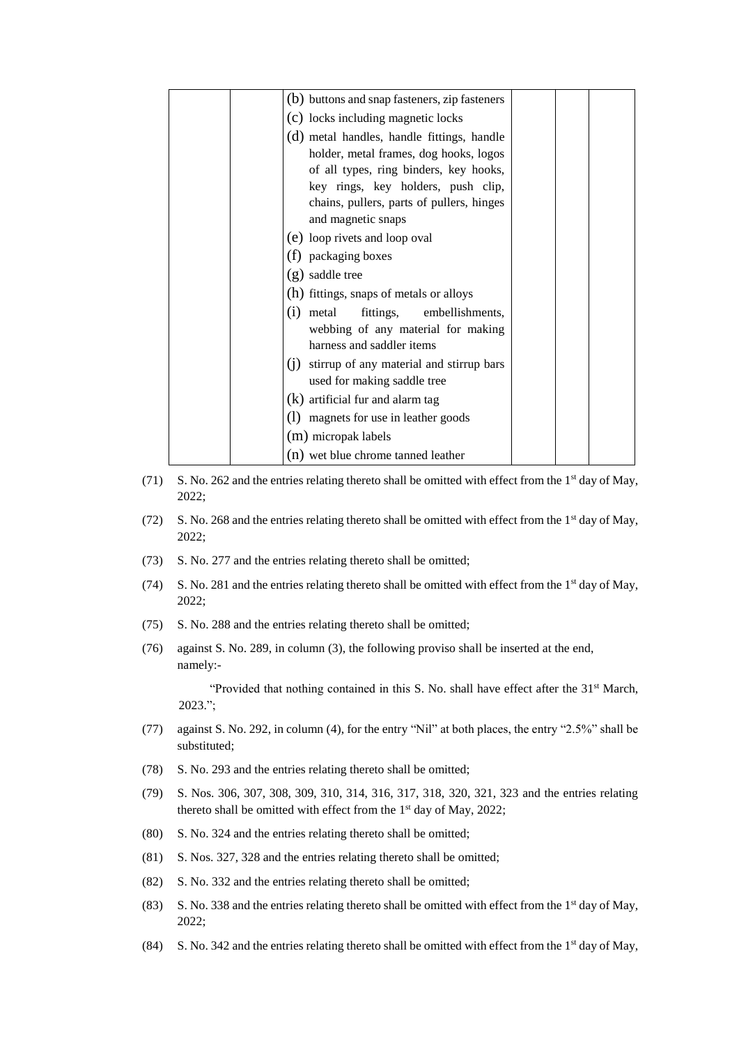| (b) buttons and snap fasteners, zip fasteners   |  |  |
|-------------------------------------------------|--|--|
| (c) locks including magnetic locks              |  |  |
| (d) metal handles, handle fittings, handle      |  |  |
| holder, metal frames, dog hooks, logos          |  |  |
| of all types, ring binders, key hooks,          |  |  |
| key rings, key holders, push clip,              |  |  |
| chains, pullers, parts of pullers, hinges       |  |  |
| and magnetic snaps                              |  |  |
| (e) loop rivets and loop oval                   |  |  |
| (f) packaging boxes                             |  |  |
| (g) saddle tree                                 |  |  |
| (h) fittings, snaps of metals or alloys         |  |  |
| fittings, embellishments,<br>(1)<br>metal       |  |  |
| webbing of any material for making              |  |  |
| harness and saddler items                       |  |  |
| stirrup of any material and stirrup bars<br>(1) |  |  |
| used for making saddle tree                     |  |  |
| $(k)$ artificial fur and alarm tag              |  |  |
| (1) magnets for use in leather goods            |  |  |
| (m) micropak labels                             |  |  |
| (n) wet blue chrome tanned leather              |  |  |

- (71) S. No. 262 and the entries relating thereto shall be omitted with effect from the 1st day of May, 2022;
- (72) S. No. 268 and the entries relating thereto shall be omitted with effect from the 1<sup>st</sup> day of May, 2022;
- (73) S. No. 277 and the entries relating thereto shall be omitted;
- (74) S. No. 281 and the entries relating thereto shall be omitted with effect from the 1st day of May, 2022;
- (75) S. No. 288 and the entries relating thereto shall be omitted;
- (76) against S. No. 289, in column (3), the following proviso shall be inserted at the end, namely:-

"Provided that nothing contained in this S. No. shall have effect after the 31<sup>st</sup> March, 2023.";

- (77) against S. No. 292, in column (4), for the entry "Nil" at both places, the entry "2.5%" shall be substituted;
- (78) S. No. 293 and the entries relating thereto shall be omitted;
- (79) S. Nos. 306, 307, 308, 309, 310, 314, 316, 317, 318, 320, 321, 323 and the entries relating thereto shall be omitted with effect from the 1<sup>st</sup> day of May, 2022;
- (80) S. No. 324 and the entries relating thereto shall be omitted;
- (81) S. Nos. 327, 328 and the entries relating thereto shall be omitted;
- (82) S. No. 332 and the entries relating thereto shall be omitted;
- (83) S. No. 338 and the entries relating thereto shall be omitted with effect from the 1<sup>st</sup> day of May, 2022;
- (84) S. No. 342 and the entries relating thereto shall be omitted with effect from the 1st day of May,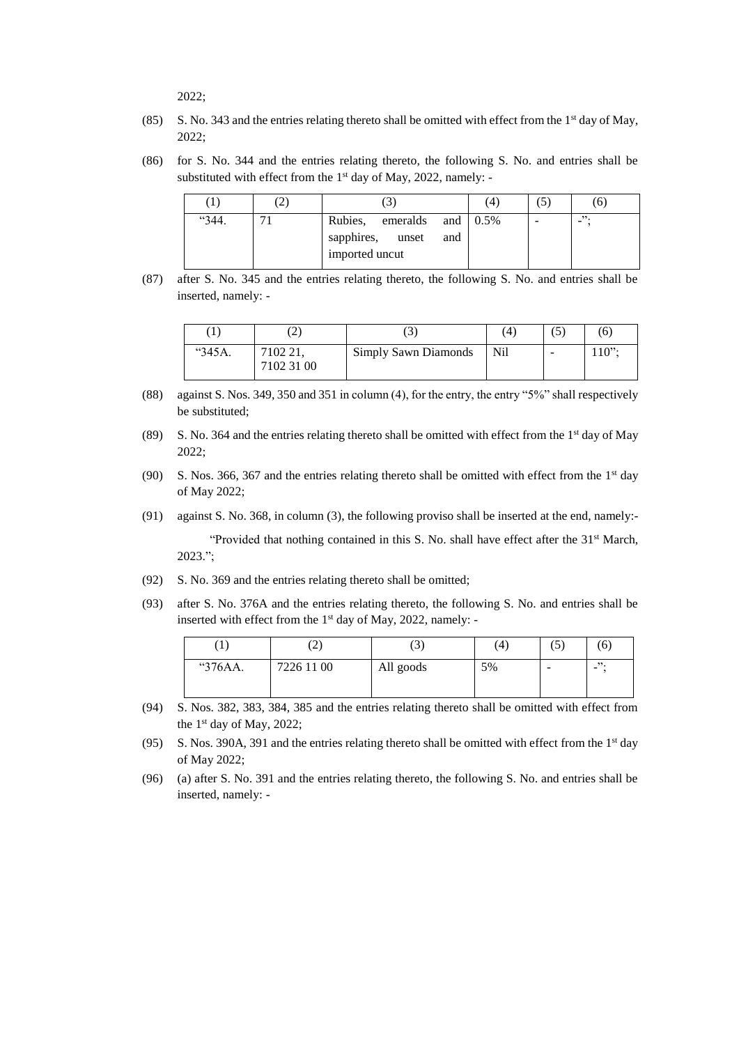2022;

- (85) S. No. 343 and the entries relating thereto shall be omitted with effect from the  $1<sup>st</sup>$  day of May, 2022;
- (86) for S. No. 344 and the entries relating thereto, the following S. No. and entries shall be substituted with effect from the 1<sup>st</sup> day of May, 2022, namely: -

|       | ∠ |                                                                       |     | 4 | $\sigma$ |
|-------|---|-----------------------------------------------------------------------|-----|---|----------|
| "344. |   | emeralds and $0.5\%$<br>Rubies,<br>sapphires, unset<br>imported uncut | and |   | "        |

(87) after S. No. 345 and the entries relating thereto, the following S. No. and entries shall be inserted, namely: -

|        |                        |                      | $^{\prime}4$ | ل،                       | (6)                                 |
|--------|------------------------|----------------------|--------------|--------------------------|-------------------------------------|
| "345A. | 7102 21,<br>7102 31 00 | Simply Sawn Diamonds | Nil          | $\overline{\phantom{a}}$ | $1^{\prime}$ $\Omega$ <sup>22</sup> |

- (88) against S. Nos. 349, 350 and 351 in column (4), for the entry, the entry "5%" shall respectively be substituted;
- (89) S. No. 364 and the entries relating thereto shall be omitted with effect from the 1<sup>st</sup> day of May 2022;
- (90) S. Nos. 366, 367 and the entries relating thereto shall be omitted with effect from the  $1<sup>st</sup>$  day of May 2022;
- (91) against S. No. 368, in column (3), the following proviso shall be inserted at the end, namely:- "Provided that nothing contained in this S. No. shall have effect after the  $31<sup>st</sup>$  March, 2023.";
- (92) S. No. 369 and the entries relating thereto shall be omitted;
- (93) after S. No. 376A and the entries relating thereto, the following S. No. and entries shall be inserted with effect from the  $1<sup>st</sup>$  day of May, 2022, namely: -

| $\mathbf{r}$ | رے         | $\sqrt{2}$<br>ر . | $\frac{4}{4}$ | $\sim$<br>U)             | (6)    |
|--------------|------------|-------------------|---------------|--------------------------|--------|
| "376AA.      | 7226 11 00 | All goods         | 5%            | $\overline{\phantom{0}}$ | "<br>- |

- (94) S. Nos. 382, 383, 384, 385 and the entries relating thereto shall be omitted with effect from the 1 st day of May, 2022;
- (95) S. Nos. 390A, 391 and the entries relating thereto shall be omitted with effect from the 1<sup>st</sup> day of May 2022;
- (96) (a) after S. No. 391 and the entries relating thereto, the following S. No. and entries shall be inserted, namely: -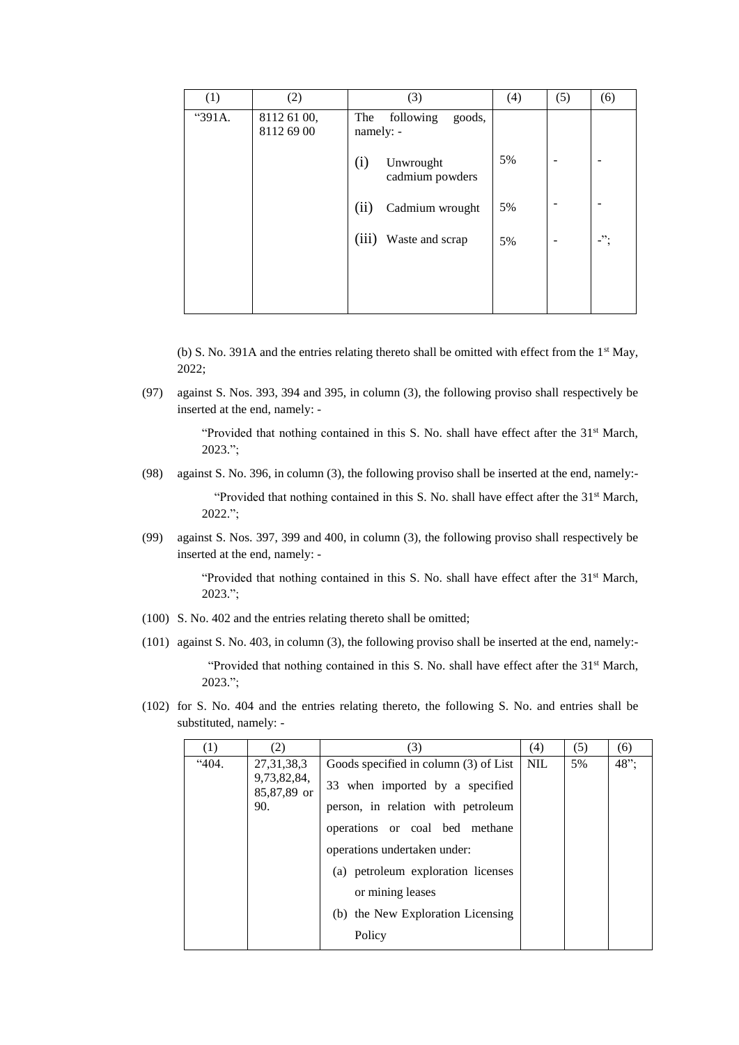| (1)    | (2)                       | (3)                                     | (4) | (5) | (6)            |
|--------|---------------------------|-----------------------------------------|-----|-----|----------------|
| "391A. | 8112 61 00,<br>8112 69 00 | The<br>following<br>goods,<br>namely: - |     |     |                |
|        |                           | (i)<br>Unwrought<br>cadmium powders     | 5%  |     |                |
|        |                           | (ii)<br>Cadmium wrought                 | 5%  |     |                |
|        |                           | (iii)<br>Waste and scrap                | 5%  |     | -".<br>$\cdot$ |
|        |                           |                                         |     |     |                |
|        |                           |                                         |     |     |                |

(b) S. No. 391A and the entries relating thereto shall be omitted with effect from the  $1<sup>st</sup>$  May, 2022;

(97) against S. Nos. 393, 394 and 395, in column (3), the following proviso shall respectively be inserted at the end, namely: -

> "Provided that nothing contained in this S. No. shall have effect after the 31<sup>st</sup> March, 2023.";

(98) against S. No. 396, in column (3), the following proviso shall be inserted at the end, namely:-

"Provided that nothing contained in this S. No. shall have effect after the 31<sup>st</sup> March, 2022.";

(99) against S. Nos. 397, 399 and 400, in column (3), the following proviso shall respectively be inserted at the end, namely: -

> "Provided that nothing contained in this S. No. shall have effect after the 31<sup>st</sup> March, 2023.";

- (100) S. No. 402 and the entries relating thereto shall be omitted;
- (101) against S. No. 403, in column (3), the following proviso shall be inserted at the end, namely:-

"Provided that nothing contained in this S. No. shall have effect after the 31<sup>st</sup> March, 2023.";

(102) for S. No. 404 and the entries relating thereto, the following S. No. and entries shall be substituted, namely: -

| $\left(1\right)$ | (2)                        | (3)                                   | (4)        | (5) | (6)  |
|------------------|----------------------------|---------------------------------------|------------|-----|------|
| 404.             | 27, 31, 38, 3              | Goods specified in column (3) of List | <b>NIL</b> | 5%  | 48"; |
|                  | 9,73,82,84,<br>85,87,89 or | 33 when imported by a specified       |            |     |      |
|                  | 90.                        | person, in relation with petroleum    |            |     |      |
|                  |                            | operations or coal bed methane        |            |     |      |
|                  |                            | operations undertaken under:          |            |     |      |
|                  |                            | (a) petroleum exploration licenses    |            |     |      |
|                  |                            | or mining leases                      |            |     |      |
|                  |                            | (b) the New Exploration Licensing     |            |     |      |
|                  |                            | Policy                                |            |     |      |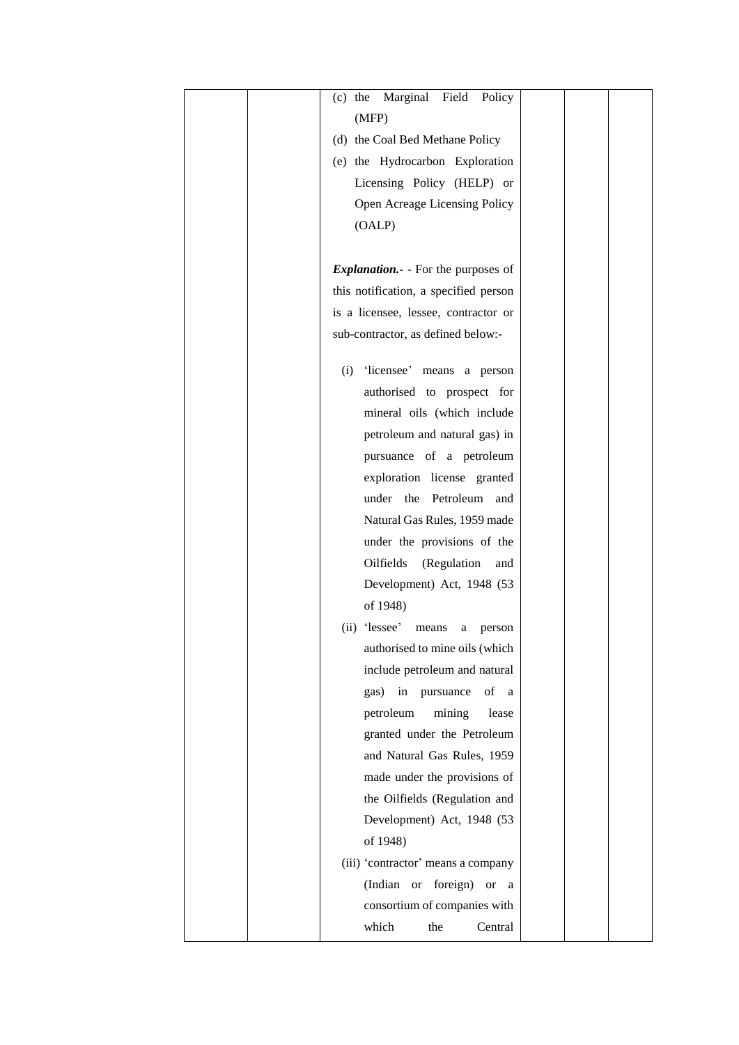| Marginal Field<br>$(c)$ the<br>Policy     |  |
|-------------------------------------------|--|
| (MFP)                                     |  |
| (d) the Coal Bed Methane Policy           |  |
| (e) the Hydrocarbon Exploration           |  |
| Licensing Policy (HELP) or                |  |
| Open Acreage Licensing Policy             |  |
| (OALP)                                    |  |
|                                           |  |
| <i>Explanation.</i> - For the purposes of |  |
| this notification, a specified person     |  |
| is a licensee, lessee, contractor or      |  |
| sub-contractor, as defined below:-        |  |
|                                           |  |
| (i) 'licensee' means a person             |  |
| authorised to prospect for                |  |
| mineral oils (which include               |  |
| petroleum and natural gas) in             |  |
| pursuance of a petroleum                  |  |
| exploration license granted               |  |
| under the Petroleum<br>and                |  |
| Natural Gas Rules, 1959 made              |  |
| under the provisions of the               |  |
| Oilfields<br>(Regulation<br>and           |  |
| Development) Act, 1948 (53                |  |
| of 1948)                                  |  |
| (ii) 'lessee' means<br>person<br>a        |  |
| authorised to mine oils (which            |  |
| include petroleum and natural             |  |
| of<br>in<br>pursuance<br>gas)<br>a        |  |
| petroleum<br>mining<br>lease              |  |
| granted under the Petroleum               |  |
| and Natural Gas Rules, 1959               |  |
| made under the provisions of              |  |
| the Oilfields (Regulation and             |  |
| Development) Act, 1948 (53                |  |
| of 1948)                                  |  |
| (iii) 'contractor' means a company        |  |
| foreign)<br>(Indian or<br>or<br>a         |  |
| consortium of companies with              |  |
| which<br>the<br>Central                   |  |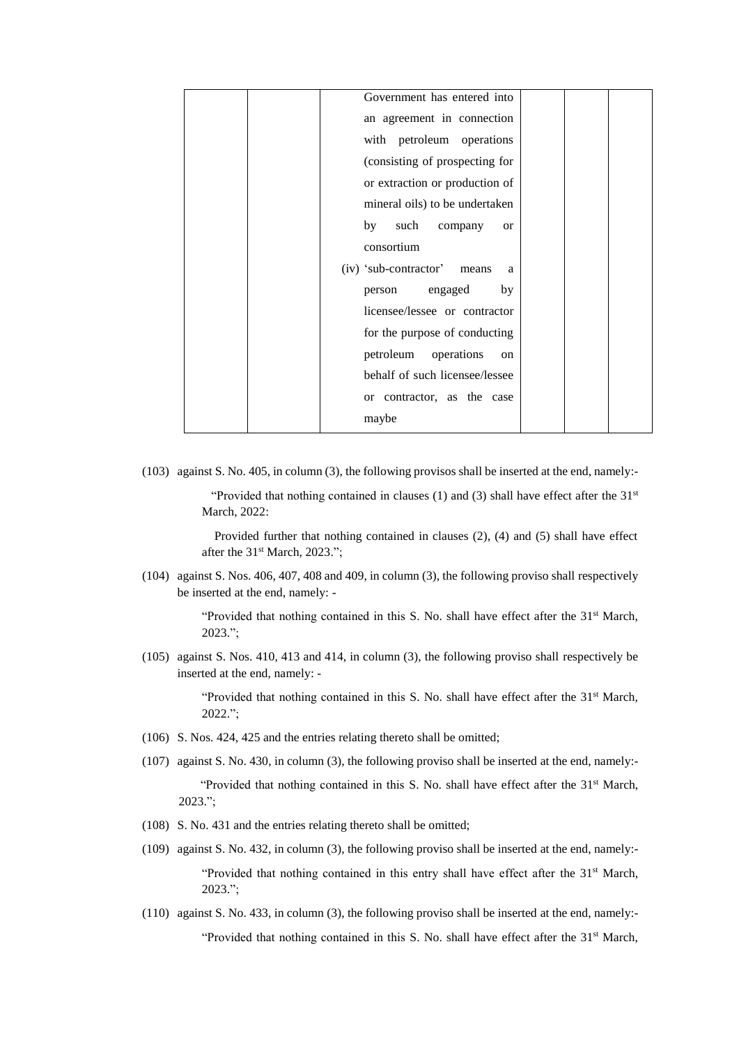| Government has entered into         |  |
|-------------------------------------|--|
| an agreement in connection          |  |
| with petroleum operations           |  |
| (consisting of prospecting for      |  |
| or extraction or production of      |  |
| mineral oils) to be undertaken      |  |
| such<br>by<br>company<br><b>or</b>  |  |
| consortium                          |  |
| (iv) 'sub-contractor'<br>means<br>a |  |
| engaged<br>by<br>person             |  |
| licensee/lessee or contractor       |  |
| for the purpose of conducting       |  |
| petroleum<br>operations<br>on       |  |
| behalf of such licensee/lessee      |  |
| or contractor, as the case          |  |
| maybe                               |  |

(103) against S. No. 405, in column (3), the following provisos shall be inserted at the end, namely:-

"Provided that nothing contained in clauses (1) and (3) shall have effect after the  $31<sup>st</sup>$ March, 2022:

 Provided further that nothing contained in clauses (2), (4) and (5) shall have effect after the 31<sup>st</sup> March, 2023.";

(104) against S. Nos. 406, 407, 408 and 409, in column (3), the following proviso shall respectively be inserted at the end, namely: -

> "Provided that nothing contained in this S. No. shall have effect after the 31<sup>st</sup> March, 2023.";

(105) against S. Nos. 410, 413 and 414, in column (3), the following proviso shall respectively be inserted at the end, namely: -

> "Provided that nothing contained in this S. No. shall have effect after the 31<sup>st</sup> March, 2022.";

- (106) S. Nos. 424, 425 and the entries relating thereto shall be omitted;
- (107) against S. No. 430, in column (3), the following proviso shall be inserted at the end, namely:- "Provided that nothing contained in this S. No. shall have effect after the 31st March, 2023.";
- (108) S. No. 431 and the entries relating thereto shall be omitted;
- (109) against S. No. 432, in column (3), the following proviso shall be inserted at the end, namely:- "Provided that nothing contained in this entry shall have effect after the  $31<sup>st</sup>$  March, 2023.";
- (110) against S. No. 433, in column (3), the following proviso shall be inserted at the end, namely:-

"Provided that nothing contained in this S. No. shall have effect after the 31<sup>st</sup> March,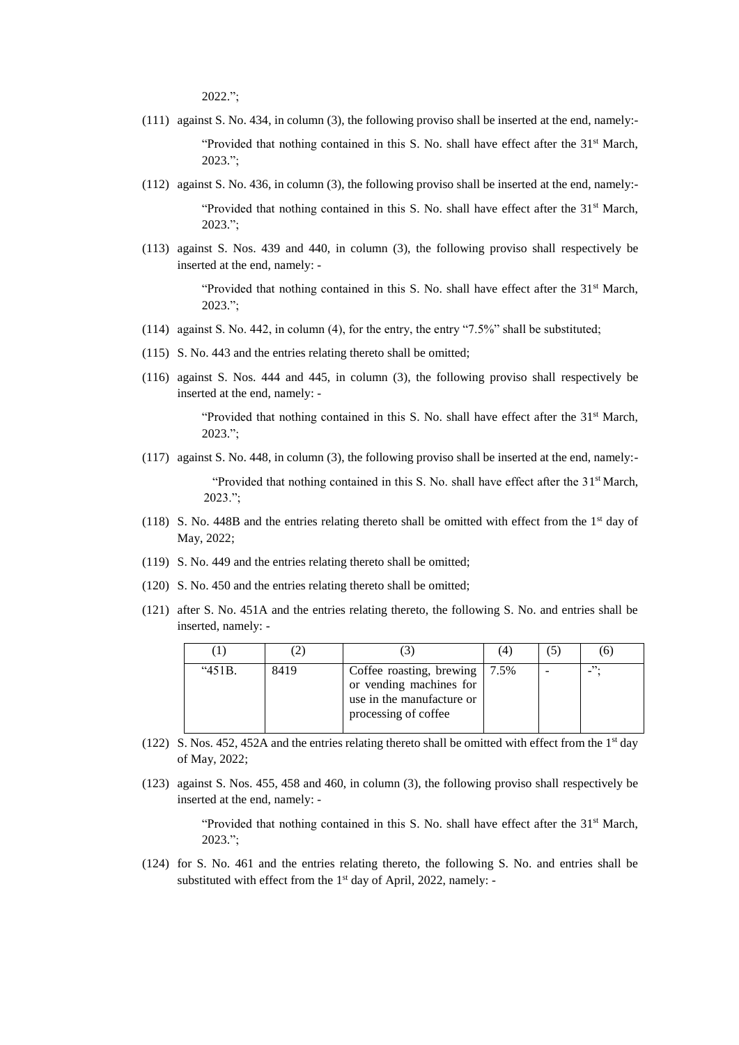2022.";

- (111) against S. No. 434, in column (3), the following proviso shall be inserted at the end, namely:- "Provided that nothing contained in this S. No. shall have effect after the 31<sup>st</sup> March, 2023.";
- (112) against S. No. 436, in column (3), the following proviso shall be inserted at the end, namely:-

"Provided that nothing contained in this S. No. shall have effect after the  $31<sup>st</sup>$  March, 2023.";

(113) against S. Nos. 439 and 440, in column (3), the following proviso shall respectively be inserted at the end, namely: -

> "Provided that nothing contained in this S. No. shall have effect after the  $31<sup>st</sup>$  March, 2023.";

- (114) against S. No. 442, in column (4), for the entry, the entry "7.5%" shall be substituted;
- (115) S. No. 443 and the entries relating thereto shall be omitted;
- (116) against S. Nos. 444 and 445, in column (3), the following proviso shall respectively be inserted at the end, namely: -

"Provided that nothing contained in this S. No. shall have effect after the  $31<sup>st</sup>$  March, 2023.";

(117) against S. No. 448, in column (3), the following proviso shall be inserted at the end, namely:-

"Provided that nothing contained in this S. No. shall have effect after the 31<sup>st</sup> March, 2023.";

- (118) S. No. 448B and the entries relating thereto shall be omitted with effect from the  $1<sup>st</sup>$  day of May, 2022;
- (119) S. No. 449 and the entries relating thereto shall be omitted;
- (120) S. No. 450 and the entries relating thereto shall be omitted;
- (121) after S. No. 451A and the entries relating thereto, the following S. No. and entries shall be inserted, namely: -

|        |      |                                                                                                          | (4)  | Э |    |
|--------|------|----------------------------------------------------------------------------------------------------------|------|---|----|
| "451B. | 8419 | Coffee roasting, brewing<br>or vending machines for<br>use in the manufacture or<br>processing of coffee | 7.5% |   | ". |

- (122) S. Nos. 452, 452A and the entries relating thereto shall be omitted with effect from the 1st day of May, 2022;
- (123) against S. Nos. 455, 458 and 460, in column (3), the following proviso shall respectively be inserted at the end, namely: -

"Provided that nothing contained in this S. No. shall have effect after the 31<sup>st</sup> March, 2023.";

(124) for S. No. 461 and the entries relating thereto, the following S. No. and entries shall be substituted with effect from the  $1<sup>st</sup>$  day of April, 2022, namely: -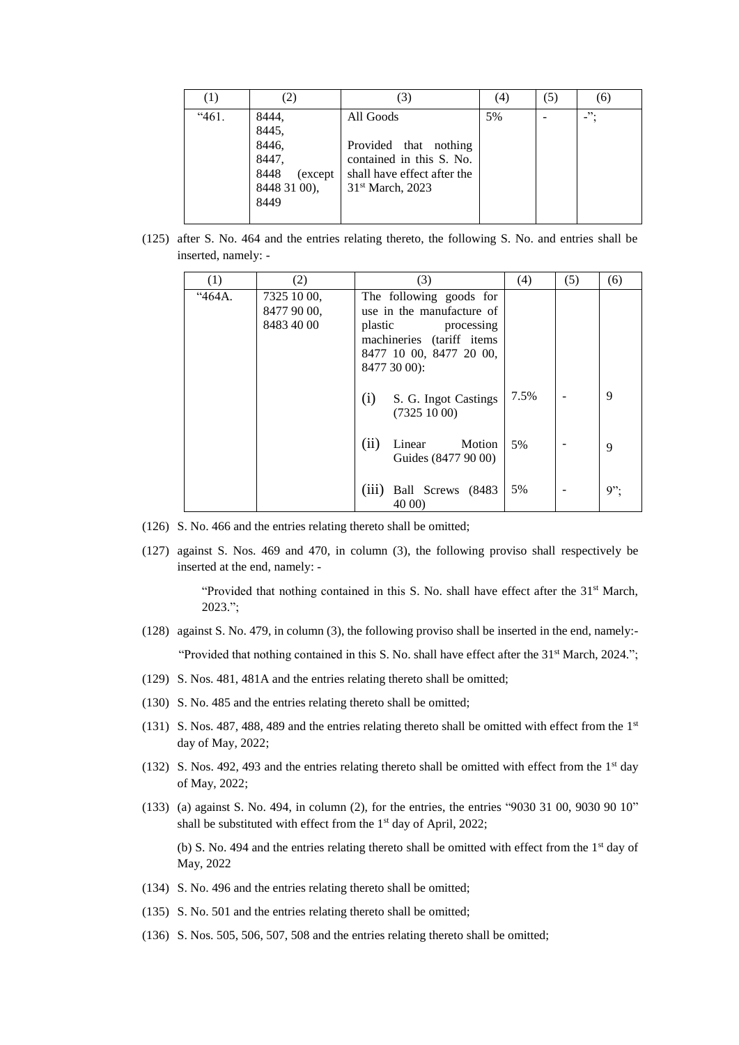| $\left(1\right)$ |                                                                              | (3)                                                                                                                           | (4) | (5) | (6)     |
|------------------|------------------------------------------------------------------------------|-------------------------------------------------------------------------------------------------------------------------------|-----|-----|---------|
| "461.            | 8444,<br>8445,<br>8446,<br>8447,<br>8448<br>(except)<br>8448 31 00),<br>8449 | All Goods<br>Provided that nothing<br>contained in this S. No.<br>shall have effect after the<br>31 <sup>st</sup> March, 2023 | 5%  |     | $\cdot$ |

(125) after S. No. 464 and the entries relating thereto, the following S. No. and entries shall be inserted, namely: -

| (1)    | (2)                                      | (3)                                                                                                                                                   | (4)  | (5) | (6)    |
|--------|------------------------------------------|-------------------------------------------------------------------------------------------------------------------------------------------------------|------|-----|--------|
| "464А. | 7325 10 00,<br>8477 90 00,<br>8483 40 00 | The following goods for<br>use in the manufacture of<br>plastic<br>processing<br>machineries (tariff items<br>8477 10 00, 8477 20 00,<br>8477 30 00): |      |     |        |
|        |                                          | (i)<br>S. G. Ingot Castings<br>(73251000)                                                                                                             | 7.5% |     | 9      |
|        |                                          | (ii)<br>Linear<br>Motion<br>Guides (8477 90 00)                                                                                                       | 5%   |     | 9      |
|        |                                          | (iii)<br>Ball Screws (8483)<br>40 00)                                                                                                                 | 5%   |     | $9$ "; |

- (126) S. No. 466 and the entries relating thereto shall be omitted;
- (127) against S. Nos. 469 and 470, in column (3), the following proviso shall respectively be inserted at the end, namely: -

"Provided that nothing contained in this S. No. shall have effect after the 31<sup>st</sup> March, 2023.";

- (128) against S. No. 479, in column (3), the following proviso shall be inserted in the end, namely:- "Provided that nothing contained in this S. No. shall have effect after the  $31<sup>st</sup>$  March, 2024.";
- (129) S. Nos. 481, 481A and the entries relating thereto shall be omitted;
- (130) S. No. 485 and the entries relating thereto shall be omitted;
- (131) S. Nos. 487, 488, 489 and the entries relating thereto shall be omitted with effect from the 1st day of May, 2022;
- (132) S. Nos. 492, 493 and the entries relating thereto shall be omitted with effect from the  $1<sup>st</sup>$  day of May, 2022;
- (133) (a) against S. No. 494, in column (2), for the entries, the entries "9030 31 00, 9030 90 10" shall be substituted with effect from the  $1<sup>st</sup>$  day of April, 2022;

(b) S. No. 494 and the entries relating thereto shall be omitted with effect from the 1<sup>st</sup> day of May, 2022

- (134) S. No. 496 and the entries relating thereto shall be omitted;
- (135) S. No. 501 and the entries relating thereto shall be omitted;
- (136) S. Nos. 505, 506, 507, 508 and the entries relating thereto shall be omitted;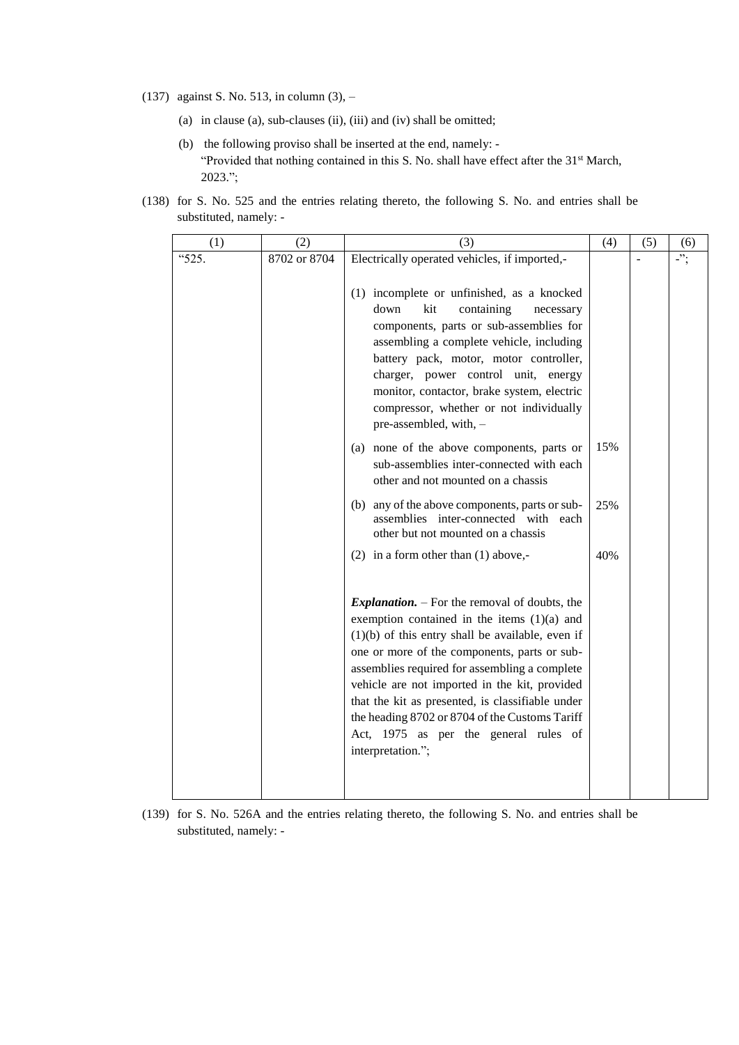- (137) against S. No. 513, in column (3),
	- (a) in clause (a), sub-clauses (ii), (iii) and (iv) shall be omitted;
	- (b) the following proviso shall be inserted at the end, namely: "Provided that nothing contained in this S. No. shall have effect after the 31<sup>st</sup> March, 2023.";
- (138) for S. No. 525 and the entries relating thereto, the following S. No. and entries shall be substituted, namely: -

| (1)   | (2)          | (3)                                                                                                                                                                                                                                                                                                                                                                                                                                                                                 | (4) | (5) | (6) |
|-------|--------------|-------------------------------------------------------------------------------------------------------------------------------------------------------------------------------------------------------------------------------------------------------------------------------------------------------------------------------------------------------------------------------------------------------------------------------------------------------------------------------------|-----|-----|-----|
| "525. | 8702 or 8704 | Electrically operated vehicles, if imported,-                                                                                                                                                                                                                                                                                                                                                                                                                                       |     |     | -"; |
|       |              | (1) incomplete or unfinished, as a knocked<br>kit<br>down<br>containing<br>necessary<br>components, parts or sub-assemblies for<br>assembling a complete vehicle, including<br>battery pack, motor, motor controller,<br>charger, power control unit, energy<br>monitor, contactor, brake system, electric<br>compressor, whether or not individually<br>pre-assembled, with, $-$                                                                                                   |     |     |     |
|       |              | (a) none of the above components, parts or<br>sub-assemblies inter-connected with each<br>other and not mounted on a chassis                                                                                                                                                                                                                                                                                                                                                        | 15% |     |     |
|       |              | (b) any of the above components, parts or sub-<br>assemblies inter-connected with each<br>other but not mounted on a chassis                                                                                                                                                                                                                                                                                                                                                        | 25% |     |     |
|       |              | (2) in a form other than $(1)$ above,-                                                                                                                                                                                                                                                                                                                                                                                                                                              | 40% |     |     |
|       |              | <i>Explanation.</i> $-$ For the removal of doubts, the<br>exemption contained in the items $(1)(a)$ and<br>$(1)(b)$ of this entry shall be available, even if<br>one or more of the components, parts or sub-<br>assemblies required for assembling a complete<br>vehicle are not imported in the kit, provided<br>that the kit as presented, is classifiable under<br>the heading 8702 or 8704 of the Customs Tariff<br>Act, 1975 as per the general rules of<br>interpretation."; |     |     |     |

(139) for S. No. 526A and the entries relating thereto, the following S. No. and entries shall be substituted, namely: -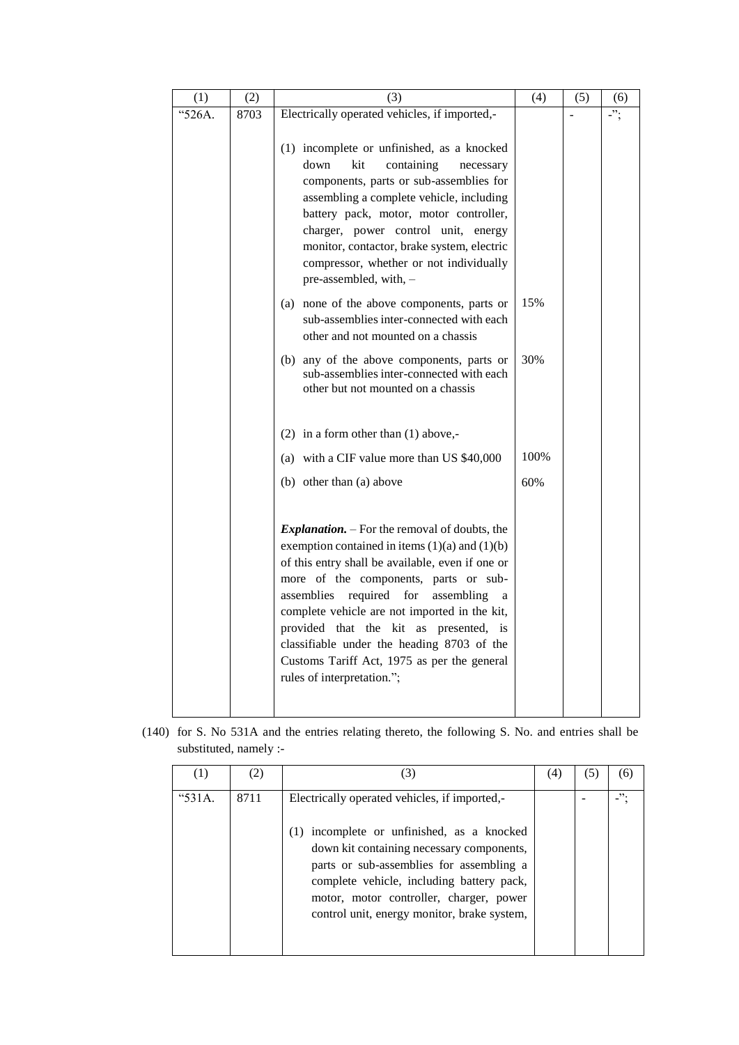| (1)    | (2)  | (3)                                                                                                                                                                                                                                                                                                                                                                                                                                                                         | (4)  | (5) | (6) |
|--------|------|-----------------------------------------------------------------------------------------------------------------------------------------------------------------------------------------------------------------------------------------------------------------------------------------------------------------------------------------------------------------------------------------------------------------------------------------------------------------------------|------|-----|-----|
| "526A. | 8703 | Electrically operated vehicles, if imported,-                                                                                                                                                                                                                                                                                                                                                                                                                               |      |     | -"; |
|        |      | (1) incomplete or unfinished, as a knocked<br>down<br>containing<br>kit<br>necessary<br>components, parts or sub-assemblies for<br>assembling a complete vehicle, including<br>battery pack, motor, motor controller,<br>charger, power control unit, energy<br>monitor, contactor, brake system, electric<br>compressor, whether or not individually<br>pre-assembled, with, -                                                                                             |      |     |     |
|        |      | none of the above components, parts or<br>(a)<br>sub-assemblies inter-connected with each<br>other and not mounted on a chassis                                                                                                                                                                                                                                                                                                                                             | 15%  |     |     |
|        |      | (b) any of the above components, parts or<br>sub-assemblies inter-connected with each<br>other but not mounted on a chassis                                                                                                                                                                                                                                                                                                                                                 | 30%  |     |     |
|        |      | (2) in a form other than $(1)$ above,-                                                                                                                                                                                                                                                                                                                                                                                                                                      |      |     |     |
|        |      | (a) with a CIF value more than US \$40,000                                                                                                                                                                                                                                                                                                                                                                                                                                  | 100% |     |     |
|        |      | (b) other than (a) above                                                                                                                                                                                                                                                                                                                                                                                                                                                    | 60%  |     |     |
|        |      | <i>Explanation.</i> – For the removal of doubts, the<br>exemption contained in items $(1)(a)$ and $(1)(b)$<br>of this entry shall be available, even if one or<br>more of the components, parts or sub-<br>assemblies required for<br>assembling<br>a<br>complete vehicle are not imported in the kit,<br>provided that the kit as presented, is<br>classifiable under the heading 8703 of the<br>Customs Tariff Act, 1975 as per the general<br>rules of interpretation."; |      |     |     |

(140) for S. No 531A and the entries relating thereto, the following S. No. and entries shall be substituted, namely :-

|            | (2)  | (3)                                                                                                                                                                                                                                                                                                                            | (4) | (6) |
|------------|------|--------------------------------------------------------------------------------------------------------------------------------------------------------------------------------------------------------------------------------------------------------------------------------------------------------------------------------|-----|-----|
| " $531A$ . | 8711 | Electrically operated vehicles, if imported,-<br>incomplete or unfinished, as a knocked<br>(1)<br>down kit containing necessary components,<br>parts or sub-assemblies for assembling a<br>complete vehicle, including battery pack,<br>motor, motor controller, charger, power<br>control unit, energy monitor, brake system, |     | ".  |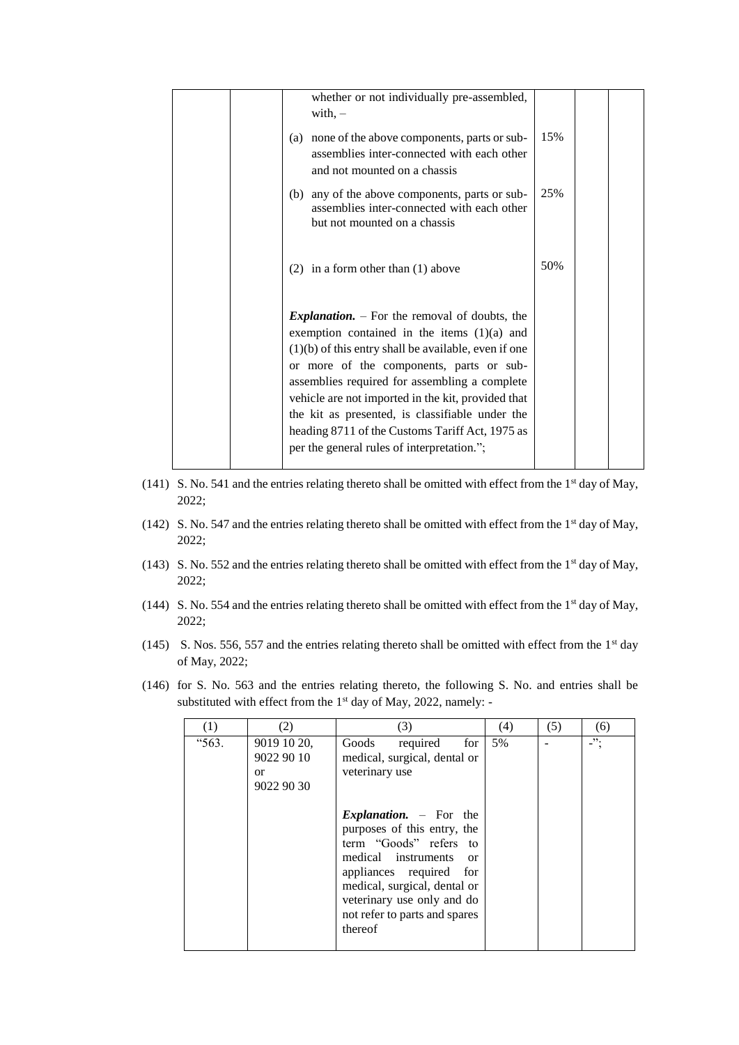|  | whether or not individually pre-assembled,<br>with, $-$                                                                                                                                                                                                                                                                                                                                                                                                                  |     |  |
|--|--------------------------------------------------------------------------------------------------------------------------------------------------------------------------------------------------------------------------------------------------------------------------------------------------------------------------------------------------------------------------------------------------------------------------------------------------------------------------|-----|--|
|  | none of the above components, parts or sub-<br>(a)<br>assemblies inter-connected with each other<br>and not mounted on a chassis                                                                                                                                                                                                                                                                                                                                         | 15% |  |
|  | any of the above components, parts or sub-<br>(b)<br>assemblies inter-connected with each other<br>but not mounted on a chassis                                                                                                                                                                                                                                                                                                                                          | 25% |  |
|  | $(2)$ in a form other than $(1)$ above                                                                                                                                                                                                                                                                                                                                                                                                                                   | 50% |  |
|  | <i>Explanation.</i> $-$ For the removal of doubts, the<br>exemption contained in the items $(1)(a)$ and<br>$(1)(b)$ of this entry shall be available, even if one<br>or more of the components, parts or sub-<br>assemblies required for assembling a complete<br>vehicle are not imported in the kit, provided that<br>the kit as presented, is classifiable under the<br>heading 8711 of the Customs Tariff Act, 1975 as<br>per the general rules of interpretation."; |     |  |
|  |                                                                                                                                                                                                                                                                                                                                                                                                                                                                          |     |  |

- (141) S. No. 541 and the entries relating thereto shall be omitted with effect from the  $1<sup>st</sup>$  day of May, 2022;
- (142) S. No. 547 and the entries relating thereto shall be omitted with effect from the  $1<sup>st</sup>$  day of May, 2022;
- (143) S. No. 552 and the entries relating thereto shall be omitted with effect from the  $1<sup>st</sup>$  day of May, 2022;
- (144) S. No. 554 and the entries relating thereto shall be omitted with effect from the 1<sup>st</sup> day of May, 2022;
- (145) S. Nos. 556, 557 and the entries relating thereto shall be omitted with effect from the 1<sup>st</sup> day of May, 2022;
- (146) for S. No. 563 and the entries relating thereto, the following S. No. and entries shall be substituted with effect from the 1<sup>st</sup> day of May, 2022, namely: -

| (1)   | (2)                                                  | (3)                                                                                                                                                                                                                                                                      | (4) | (5) | (6)        |
|-------|------------------------------------------------------|--------------------------------------------------------------------------------------------------------------------------------------------------------------------------------------------------------------------------------------------------------------------------|-----|-----|------------|
| "563. | 9019 10 20,<br>9022 90 10<br><b>or</b><br>9022 90 30 | Goods<br>required<br>for<br>medical, surgical, dental or<br>veterinary use                                                                                                                                                                                               | 5%  |     | $\cdot$ "; |
|       |                                                      | <i>Explanation.</i> $-$ For the<br>purposes of this entry, the<br>term "Goods" refers to<br>medical instruments<br><sub>or</sub><br>appliances required<br>for<br>medical, surgical, dental or<br>veterinary use only and do<br>not refer to parts and spares<br>thereof |     |     |            |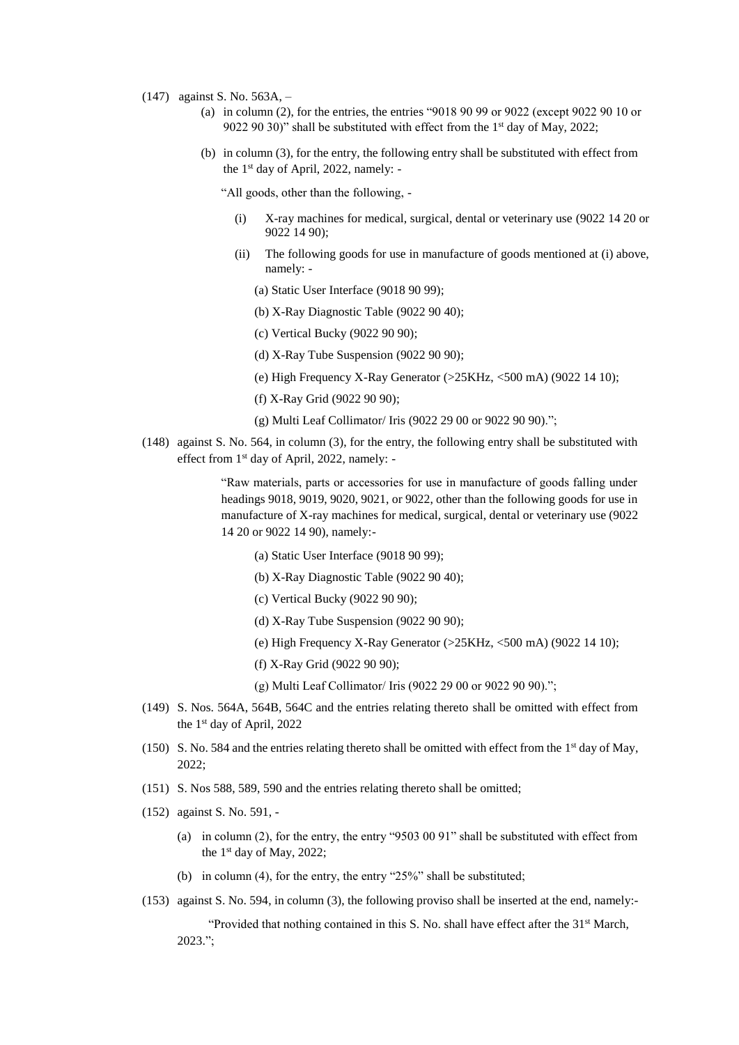- (147) against S. No. 563A,
	- (a) in column (2), for the entries, the entries "9018 90 99 or 9022 (except 9022 90 10 or 9022 90 30)" shall be substituted with effect from the 1<sup>st</sup> day of May, 2022;
	- (b) in column (3), for the entry, the following entry shall be substituted with effect from the 1 st day of April, 2022, namely: -

"All goods, other than the following, -

- (i) X-ray machines for medical, surgical, dental or veterinary use (9022 14 20 or 9022 14 90);
- (ii) The following goods for use in manufacture of goods mentioned at (i) above, namely: -
	- (a) Static User Interface (9018 90 99);
	- (b) X-Ray Diagnostic Table (9022 90 40);
	- (c) Vertical Bucky (9022 90 90);
	- (d) X-Ray Tube Suspension (9022 90 90);
	- (e) High Frequency X-Ray Generator (>25KHz, <500 mA) (9022 14 10);
	- (f) X-Ray Grid (9022 90 90);
	- (g) Multi Leaf Collimator/ Iris (9022 29 00 or 9022 90 90).";
- (148) against S. No. 564, in column (3), for the entry, the following entry shall be substituted with effect from 1st day of April, 2022, namely: -

"Raw materials, parts or accessories for use in manufacture of goods falling under headings 9018, 9019, 9020, 9021, or 9022, other than the following goods for use in manufacture of X-ray machines for medical, surgical, dental or veterinary use (9022 14 20 or 9022 14 90), namely:-

- (a) Static User Interface (9018 90 99);
- (b) X-Ray Diagnostic Table (9022 90 40);
- (c) Vertical Bucky (9022 90 90);
- (d) X-Ray Tube Suspension (9022 90 90);
- (e) High Frequency X-Ray Generator (>25KHz, <500 mA) (9022 14 10);
- (f) X-Ray Grid (9022 90 90);
- (g) Multi Leaf Collimator/ Iris (9022 29 00 or 9022 90 90).";
- (149) S. Nos. 564A, 564B, 564C and the entries relating thereto shall be omitted with effect from the 1st day of April, 2022
- (150) S. No. 584 and the entries relating thereto shall be omitted with effect from the 1<sup>st</sup> day of May, 2022;
- (151) S. Nos 588, 589, 590 and the entries relating thereto shall be omitted;
- (152) against S. No. 591,
	- (a) in column (2), for the entry, the entry "9503 00 91" shall be substituted with effect from the 1<sup>st</sup> day of May, 2022;
	- (b) in column (4), for the entry, the entry "25%" shall be substituted;
- (153) against S. No. 594, in column (3), the following proviso shall be inserted at the end, namely:-

"Provided that nothing contained in this S. No. shall have effect after the 31<sup>st</sup> March, 2023.";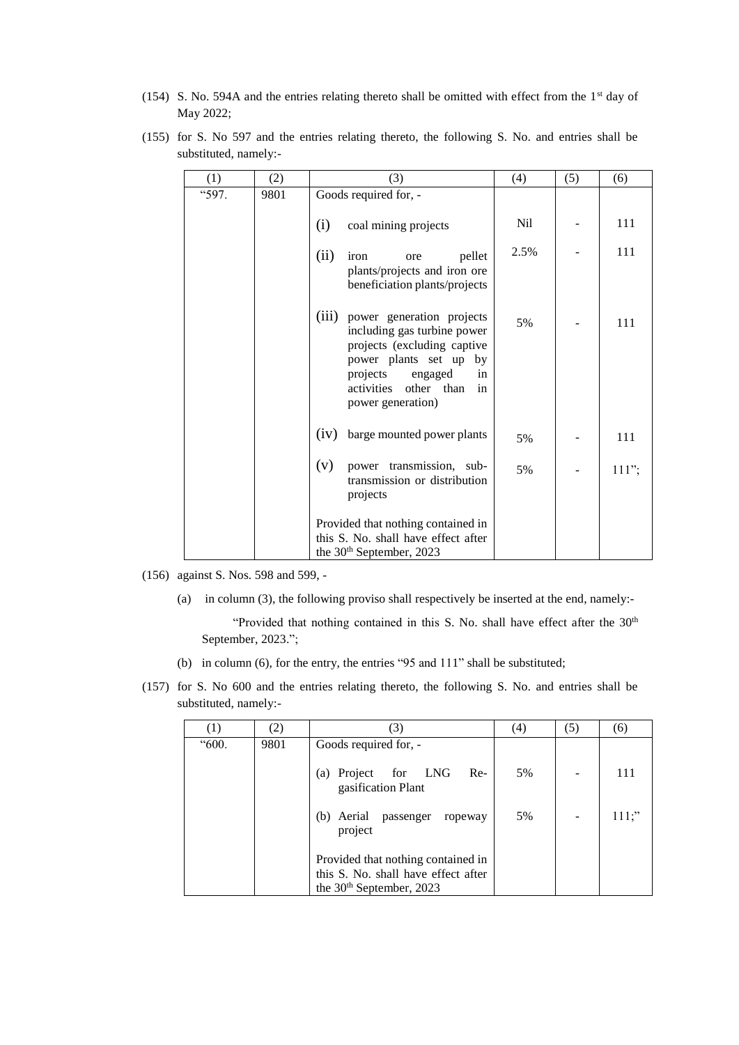(154) S. No. 594A and the entries relating thereto shall be omitted with effect from the 1st day of May 2022;

|                       |  |  |  |  | (155) for S. No 597 and the entries relating thereto, the following S. No. and entries shall be |  |  |  |
|-----------------------|--|--|--|--|-------------------------------------------------------------------------------------------------|--|--|--|
| substituted, namely:- |  |  |  |  |                                                                                                 |  |  |  |

| (1)   | (2)  | (3)                                                                                                                                                                                                               | (4)  | (5) | (6)      |
|-------|------|-------------------------------------------------------------------------------------------------------------------------------------------------------------------------------------------------------------------|------|-----|----------|
| "597. | 9801 | Goods required for, -                                                                                                                                                                                             |      |     |          |
|       |      | (i)<br>coal mining projects                                                                                                                                                                                       | Nil  |     | 111      |
|       |      | (ii)<br>pellet<br>iron<br>ore<br>plants/projects and iron ore<br>beneficiation plants/projects                                                                                                                    | 2.5% |     | 111      |
|       |      | (iii)<br>power generation projects<br>including gas turbine power<br>projects (excluding captive<br>power plants set up by<br>projects<br>engaged<br>in<br>activities<br>other<br>than<br>in<br>power generation) | 5%   |     | 111      |
|       |      | (iv)<br>barge mounted power plants                                                                                                                                                                                | 5%   |     | 111      |
|       |      | (v)<br>power transmission, sub-<br>transmission or distribution<br>projects                                                                                                                                       | 5%   |     | $111$ "; |
|       |      | Provided that nothing contained in<br>this S. No. shall have effect after<br>the 30 <sup>th</sup> September, 2023                                                                                                 |      |     |          |

(156) against S. Nos. 598 and 599, -

(a) in column (3), the following proviso shall respectively be inserted at the end, namely:-

"Provided that nothing contained in this S. No. shall have effect after the 30<sup>th</sup> September, 2023.";

- (b) in column (6), for the entry, the entries "95 and 111" shall be substituted;
- (157) for S. No 600 and the entries relating thereto, the following S. No. and entries shall be substituted, namely:-

|       | (2)  | (3)                                                                                                               | (4) | (5) | (6)          |
|-------|------|-------------------------------------------------------------------------------------------------------------------|-----|-----|--------------|
| "600. | 9801 | Goods required for, -                                                                                             |     |     |              |
|       |      | (a) Project for<br>LNG<br>$Re-$<br>gasification Plant                                                             | 5%  |     | $11^{\circ}$ |
|       |      | (b) Aerial<br>passenger<br>ropeway<br>project                                                                     | 5%  |     | $111$ ;"     |
|       |      | Provided that nothing contained in<br>this S. No. shall have effect after<br>the 30 <sup>th</sup> September, 2023 |     |     |              |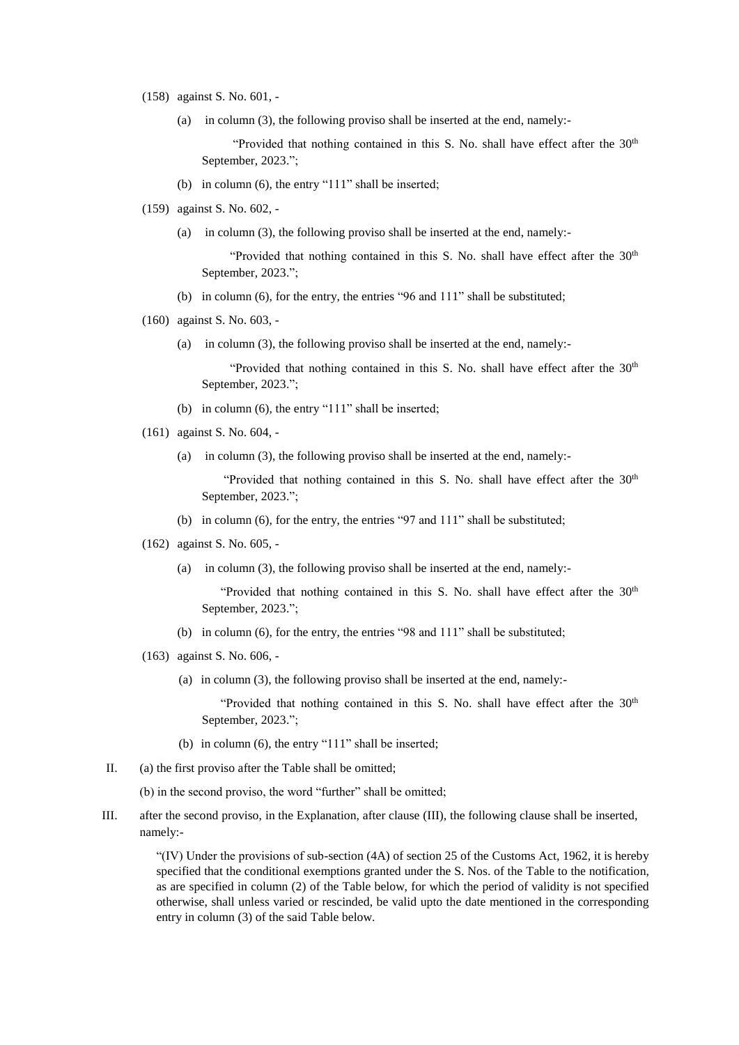- (158) against S. No. 601,
	- (a) in column (3), the following proviso shall be inserted at the end, namely:-

"Provided that nothing contained in this S. No. shall have effect after the  $30<sup>th</sup>$ September, 2023.";

- (b) in column (6), the entry "111" shall be inserted;
- (159) against S. No. 602,
	- (a) in column (3), the following proviso shall be inserted at the end, namely:-

"Provided that nothing contained in this S. No. shall have effect after the  $30<sup>th</sup>$ September, 2023.";

- (b) in column (6), for the entry, the entries "96 and 111" shall be substituted;
- (160) against S. No. 603,
	- (a) in column (3), the following proviso shall be inserted at the end, namely:-

"Provided that nothing contained in this S. No. shall have effect after the 30<sup>th</sup> September, 2023.";

- (b) in column (6), the entry "111" shall be inserted;
- (161) against S. No. 604,
	- (a) in column (3), the following proviso shall be inserted at the end, namely:-

"Provided that nothing contained in this S. No. shall have effect after the 30<sup>th</sup> September, 2023.";

- (b) in column (6), for the entry, the entries "97 and 111" shall be substituted;
- (162) against S. No. 605,
	- (a) in column (3), the following proviso shall be inserted at the end, namely:-

"Provided that nothing contained in this S. No. shall have effect after the  $30<sup>th</sup>$ September, 2023.";

- (b) in column (6), for the entry, the entries "98 and 111" shall be substituted;
- (163) against S. No. 606,
	- (a) in column (3), the following proviso shall be inserted at the end, namely:-

"Provided that nothing contained in this S. No. shall have effect after the 30<sup>th</sup> September, 2023.";

- (b) in column (6), the entry "111" shall be inserted;
- II. (a) the first proviso after the Table shall be omitted;

(b) in the second proviso, the word "further" shall be omitted;

III. after the second proviso, in the Explanation, after clause (III), the following clause shall be inserted, namely:-

> "(IV) Under the provisions of sub-section (4A) of section 25 of the Customs Act, 1962, it is hereby specified that the conditional exemptions granted under the S. Nos. of the Table to the notification, as are specified in column (2) of the Table below, for which the period of validity is not specified otherwise, shall unless varied or rescinded, be valid upto the date mentioned in the corresponding entry in column (3) of the said Table below.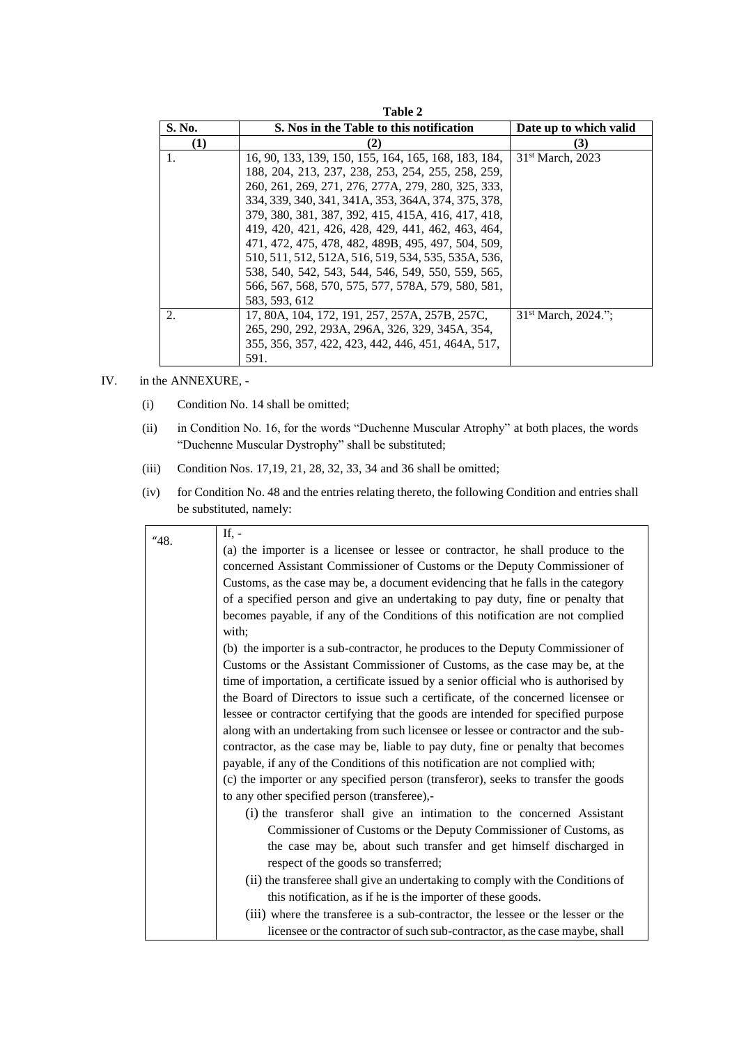|        | Table 2                                              |                                 |
|--------|------------------------------------------------------|---------------------------------|
| S. No. | S. Nos in the Table to this notification             | Date up to which valid          |
| (1)    | (2)                                                  | (3)                             |
| 1.     | 16, 90, 133, 139, 150, 155, 164, 165, 168, 183, 184, | $31st$ March, 2023              |
|        | 188, 204, 213, 237, 238, 253, 254, 255, 258, 259,    |                                 |
|        | 260, 261, 269, 271, 276, 277A, 279, 280, 325, 333,   |                                 |
|        | 334, 339, 340, 341, 341A, 353, 364A, 374, 375, 378,  |                                 |
|        | 379, 380, 381, 387, 392, 415, 415A, 416, 417, 418,   |                                 |
|        | 419, 420, 421, 426, 428, 429, 441, 462, 463, 464,    |                                 |
|        | 471, 472, 475, 478, 482, 489B, 495, 497, 504, 509,   |                                 |
|        | 510, 511, 512, 512A, 516, 519, 534, 535, 535A, 536,  |                                 |
|        | 538, 540, 542, 543, 544, 546, 549, 550, 559, 565,    |                                 |
|        | 566, 567, 568, 570, 575, 577, 578A, 579, 580, 581,   |                                 |
|        | 583, 593, 612                                        |                                 |
| 2.     | 17, 80A, 104, 172, 191, 257, 257A, 257B, 257C,       | 31 <sup>st</sup> March, 2024.": |
|        | 265, 290, 292, 293A, 296A, 326, 329, 345A, 354,      |                                 |
|        | 355, 356, 357, 422, 423, 442, 446, 451, 464A, 517,   |                                 |
|        | 591.                                                 |                                 |

## IV. in the ANNEXURE, -

- (i) Condition No. 14 shall be omitted;
- (ii) in Condition No. 16, for the words "Duchenne Muscular Atrophy" at both places, the words "Duchenne Muscular Dystrophy" shall be substituted;
- (iii) Condition Nos. 17,19, 21, 28, 32, 33, 34 and 36 shall be omitted;
- (iv) for Condition No. 48 and the entries relating thereto, the following Condition and entries shall be substituted, namely:

| 48. | If, $-$                                                                             |
|-----|-------------------------------------------------------------------------------------|
|     | (a) the importer is a licensee or lessee or contractor, he shall produce to the     |
|     | concerned Assistant Commissioner of Customs or the Deputy Commissioner of           |
|     | Customs, as the case may be, a document evidencing that he falls in the category    |
|     | of a specified person and give an undertaking to pay duty, fine or penalty that     |
|     | becomes payable, if any of the Conditions of this notification are not complied     |
|     | with;                                                                               |
|     | (b) the importer is a sub-contractor, he produces to the Deputy Commissioner of     |
|     | Customs or the Assistant Commissioner of Customs, as the case may be, at the        |
|     | time of importation, a certificate issued by a senior official who is authorised by |
|     | the Board of Directors to issue such a certificate, of the concerned licensee or    |
|     | lessee or contractor certifying that the goods are intended for specified purpose   |
|     | along with an undertaking from such licensee or lessee or contractor and the sub-   |
|     | contractor, as the case may be, liable to pay duty, fine or penalty that becomes    |
|     | payable, if any of the Conditions of this notification are not complied with;       |
|     | (c) the importer or any specified person (transferor), seeks to transfer the goods  |
|     | to any other specified person (transferee),-                                        |
|     | (i) the transferor shall give an intimation to the concerned Assistant              |
|     | Commissioner of Customs or the Deputy Commissioner of Customs, as                   |
|     | the case may be, about such transfer and get himself discharged in                  |
|     | respect of the goods so transferred;                                                |
|     | (ii) the transferee shall give an undertaking to comply with the Conditions of      |
|     | this notification, as if he is the importer of these goods.                         |
|     | (iii) where the transferee is a sub-contractor, the lessee or the lesser or the     |
|     | licensee or the contractor of such sub-contractor, as the case maybe, shall         |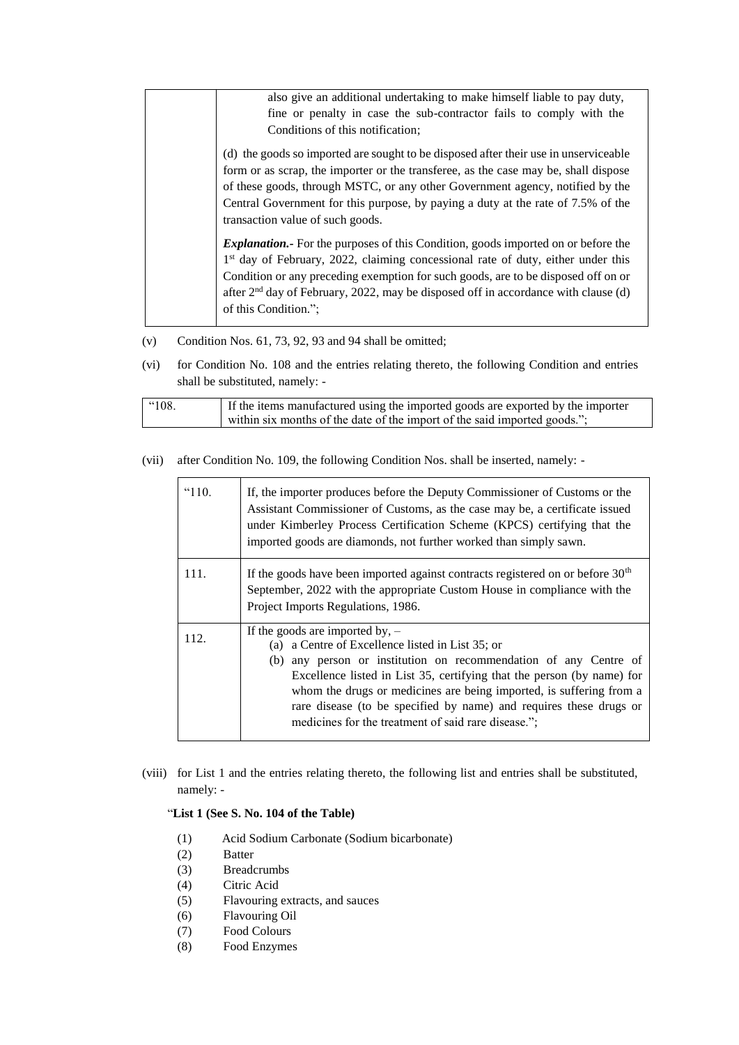| also give an additional undertaking to make himself liable to pay duty,<br>fine or penalty in case the sub-contractor fails to comply with the<br>Conditions of this notification;                                                                                                                                                                                                                     |
|--------------------------------------------------------------------------------------------------------------------------------------------------------------------------------------------------------------------------------------------------------------------------------------------------------------------------------------------------------------------------------------------------------|
| (d) the goods so imported are sought to be disposed after their use in unserviceable<br>form or as scrap, the importer or the transferee, as the case may be, shall dispose<br>of these goods, through MSTC, or any other Government agency, notified by the<br>Central Government for this purpose, by paying a duty at the rate of 7.5% of the<br>transaction value of such goods.                   |
| <b>Explanation.</b> For the purposes of this Condition, goods imported on or before the<br>1 <sup>st</sup> day of February, 2022, claiming concessional rate of duty, either under this<br>Condition or any preceding exemption for such goods, are to be disposed off on or<br>after 2 <sup>nd</sup> day of February, 2022, may be disposed off in accordance with clause (d)<br>of this Condition."; |

- (v) Condition Nos. 61, 73, 92, 93 and 94 shall be omitted;
- (vi) for Condition No. 108 and the entries relating thereto, the following Condition and entries shall be substituted, namely: -

| If the items manufactured using the imported goods are exported by the importer<br>$^{\circ}108.$<br>within six months of the date of the import of the said imported goods."; |
|--------------------------------------------------------------------------------------------------------------------------------------------------------------------------------|
|--------------------------------------------------------------------------------------------------------------------------------------------------------------------------------|

(vii) after Condition No. 109, the following Condition Nos. shall be inserted, namely: -

| " $110.$ | If, the importer produces before the Deputy Commissioner of Customs or the<br>Assistant Commissioner of Customs, as the case may be, a certificate issued<br>under Kimberley Process Certification Scheme (KPCS) certifying that the<br>imported goods are diamonds, not further worked than simply sawn.                                                                                                                               |
|----------|-----------------------------------------------------------------------------------------------------------------------------------------------------------------------------------------------------------------------------------------------------------------------------------------------------------------------------------------------------------------------------------------------------------------------------------------|
| 111.     | If the goods have been imported against contracts registered on or before $30th$<br>September, 2022 with the appropriate Custom House in compliance with the<br>Project Imports Regulations, 1986.                                                                                                                                                                                                                                      |
| 112.     | If the goods are imported by, $-$<br>(a) a Centre of Excellence listed in List 35; or<br>(b) any person or institution on recommendation of any Centre of<br>Excellence listed in List 35, certifying that the person (by name) for<br>whom the drugs or medicines are being imported, is suffering from a<br>rare disease (to be specified by name) and requires these drugs or<br>medicines for the treatment of said rare disease."; |

(viii) for List 1 and the entries relating thereto, the following list and entries shall be substituted, namely: -

## "**List 1 (See S. No. 104 of the Table)**

- (1) Acid Sodium Carbonate (Sodium bicarbonate)
- (2) Batter
- (3) Breadcrumbs
- (4) Citric Acid
- (5) Flavouring extracts, and sauces
- (6) Flavouring Oil
- (7) Food Colours
- (8) Food Enzymes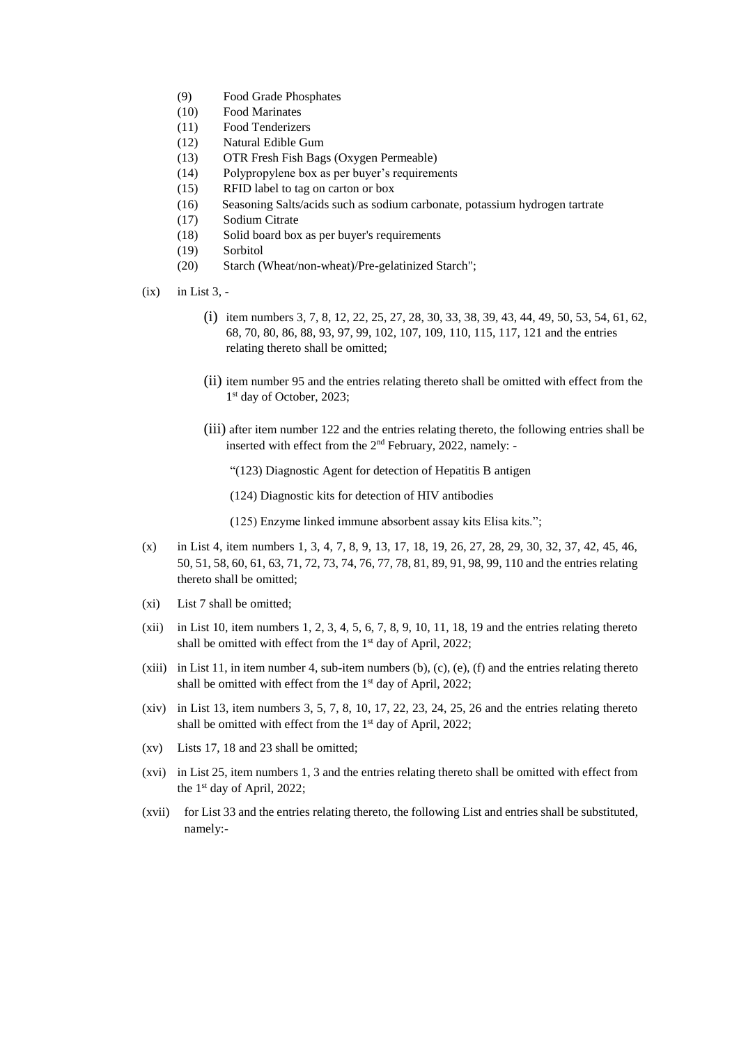- (9) Food Grade Phosphates
- (10) Food Marinates
- (11) Food Tenderizers
- (12) Natural Edible Gum
- (13) OTR Fresh Fish Bags (Oxygen Permeable)
- (14) Polypropylene box as per buyer's requirements
- (15) RFID label to tag on carton or box
- (16) Seasoning Salts/acids such as sodium carbonate, potassium hydrogen tartrate
- (17) Sodium Citrate
- (18) Solid board box as per buyer's requirements
- (19) Sorbitol
- (20) Starch (Wheat/non-wheat)/Pre-gelatinized Starch";
- (ix) in List 3,
	- (i) item numbers 3, 7, 8, 12, 22, 25, 27, 28, 30, 33, 38, 39, 43, 44, 49, 50, 53, 54, 61, 62, 68, 70, 80, 86, 88, 93, 97, 99, 102, 107, 109, 110, 115, 117, 121 and the entries relating thereto shall be omitted;
	- (ii) item number 95 and the entries relating thereto shall be omitted with effect from the 1<sup>st</sup> day of October, 2023;
	- (iii) after item number 122 and the entries relating thereto, the following entries shall be inserted with effect from the 2<sup>nd</sup> February, 2022, namely: -
		- "(123) Diagnostic Agent for detection of Hepatitis B antigen
		- (124) Diagnostic kits for detection of HIV antibodies

(125) Enzyme linked immune absorbent assay kits Elisa kits.";

- (x) in List 4, item numbers 1, 3, 4, 7, 8, 9, 13, 17, 18, 19, 26, 27, 28, 29, 30, 32, 37, 42, 45, 46, 50, 51, 58, 60, 61, 63, 71, 72, 73, 74, 76, 77, 78, 81, 89, 91, 98, 99, 110 and the entries relating thereto shall be omitted;
- (xi) List 7 shall be omitted;
- (xii) in List 10, item numbers 1, 2, 3, 4, 5, 6, 7, 8, 9, 10, 11, 18, 19 and the entries relating thereto shall be omitted with effect from the 1<sup>st</sup> day of April, 2022;
- (xiii) in List 11, in item number 4, sub-item numbers (b), (c), (e), (f) and the entries relating thereto shall be omitted with effect from the 1<sup>st</sup> day of April, 2022;
- (xiv) in List 13, item numbers  $3, 5, 7, 8, 10, 17, 22, 23, 24, 25, 26$  and the entries relating thereto shall be omitted with effect from the 1<sup>st</sup> day of April, 2022;
- (xv) Lists 17, 18 and 23 shall be omitted;
- (xvi) in List 25, item numbers 1, 3 and the entries relating thereto shall be omitted with effect from the 1 st day of April, 2022;
- (xvii) for List 33 and the entries relating thereto, the following List and entries shall be substituted, namely:-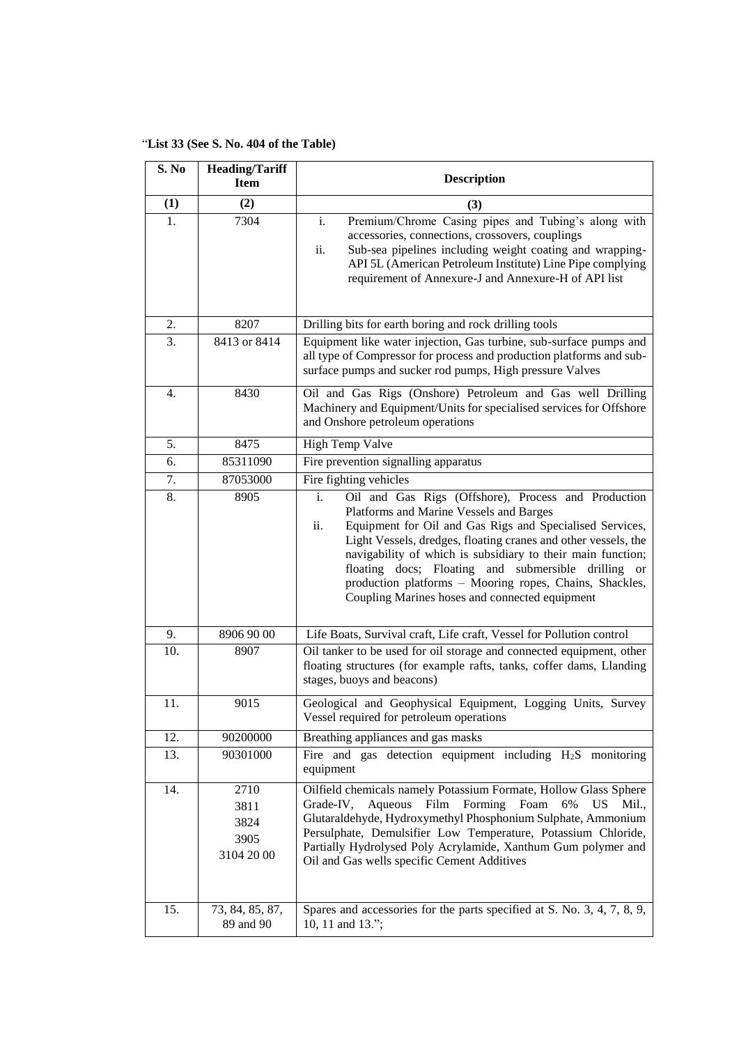"**List 33 (See S. No. 404 of the Table)**

| S. No | <b>Heading/Tariff</b>                      |                                                                                                                                                                                                                                                                                                                                                                                                                                                                              |
|-------|--------------------------------------------|------------------------------------------------------------------------------------------------------------------------------------------------------------------------------------------------------------------------------------------------------------------------------------------------------------------------------------------------------------------------------------------------------------------------------------------------------------------------------|
|       | <b>Item</b>                                | <b>Description</b>                                                                                                                                                                                                                                                                                                                                                                                                                                                           |
| (1)   | (2)                                        | (3)                                                                                                                                                                                                                                                                                                                                                                                                                                                                          |
| 1.    | 7304                                       | Premium/Chrome Casing pipes and Tubing's along with<br>i.<br>accessories, connections, crossovers, couplings<br>Sub-sea pipelines including weight coating and wrapping-<br>ii.<br>API 5L (American Petroleum Institute) Line Pipe complying<br>requirement of Annexure-J and Annexure-H of API list                                                                                                                                                                         |
| 2.    | 8207                                       | Drilling bits for earth boring and rock drilling tools                                                                                                                                                                                                                                                                                                                                                                                                                       |
| 3.    | 8413 or 8414                               | Equipment like water injection, Gas turbine, sub-surface pumps and<br>all type of Compressor for process and production platforms and sub-<br>surface pumps and sucker rod pumps, High pressure Valves                                                                                                                                                                                                                                                                       |
| 4.    | 8430                                       | Oil and Gas Rigs (Onshore) Petroleum and Gas well Drilling<br>Machinery and Equipment/Units for specialised services for Offshore<br>and Onshore petroleum operations                                                                                                                                                                                                                                                                                                        |
| 5.    | 8475                                       | <b>High Temp Valve</b>                                                                                                                                                                                                                                                                                                                                                                                                                                                       |
| 6.    | 85311090                                   | Fire prevention signalling apparatus                                                                                                                                                                                                                                                                                                                                                                                                                                         |
| 7.    | 87053000                                   | Fire fighting vehicles                                                                                                                                                                                                                                                                                                                                                                                                                                                       |
| 8.    | 8905                                       | Oil and Gas Rigs (Offshore), Process and Production<br>i.<br>Platforms and Marine Vessels and Barges<br>Equipment for Oil and Gas Rigs and Specialised Services,<br>ii.<br>Light Vessels, dredges, floating cranes and other vessels, the<br>navigability of which is subsidiary to their main function;<br>floating docs; Floating and submersible drilling or<br>production platforms - Mooring ropes, Chains, Shackles,<br>Coupling Marines hoses and connected equipment |
| 9.    | 8906 90 00                                 | Life Boats, Survival craft, Life craft, Vessel for Pollution control                                                                                                                                                                                                                                                                                                                                                                                                         |
| 10.   | 8907                                       | Oil tanker to be used for oil storage and connected equipment, other<br>floating structures (for example rafts, tanks, coffer dams, Llanding<br>stages, buoys and beacons)                                                                                                                                                                                                                                                                                                   |
| 11.   | 9015                                       | Geological and Geophysical Equipment, Logging Units, Survey<br>Vessel required for petroleum operations                                                                                                                                                                                                                                                                                                                                                                      |
| 12.   | 90200000                                   | Breathing appliances and gas masks                                                                                                                                                                                                                                                                                                                                                                                                                                           |
| 13.   | 90301000                                   | Fire and gas detection equipment including $H_2S$ monitoring<br>equipment                                                                                                                                                                                                                                                                                                                                                                                                    |
| 14.   | 2710<br>3811<br>3824<br>3905<br>3104 20 00 | Oilfield chemicals namely Potassium Formate, Hollow Glass Sphere<br>Aqueous Film<br>Forming<br>Foam<br>Grade-IV,<br>6%<br>US Mil<br>Glutaraldehyde, Hydroxymethyl Phosphonium Sulphate, Ammonium<br>Persulphate, Demulsifier Low Temperature, Potassium Chloride,<br>Partially Hydrolysed Poly Acrylamide, Xanthum Gum polymer and<br>Oil and Gas wells specific Cement Additives                                                                                            |
| 15.   | 73, 84, 85, 87,<br>89 and 90               | Spares and accessories for the parts specified at S. No. 3, 4, 7, 8, 9,<br>10, 11 and 13.";                                                                                                                                                                                                                                                                                                                                                                                  |